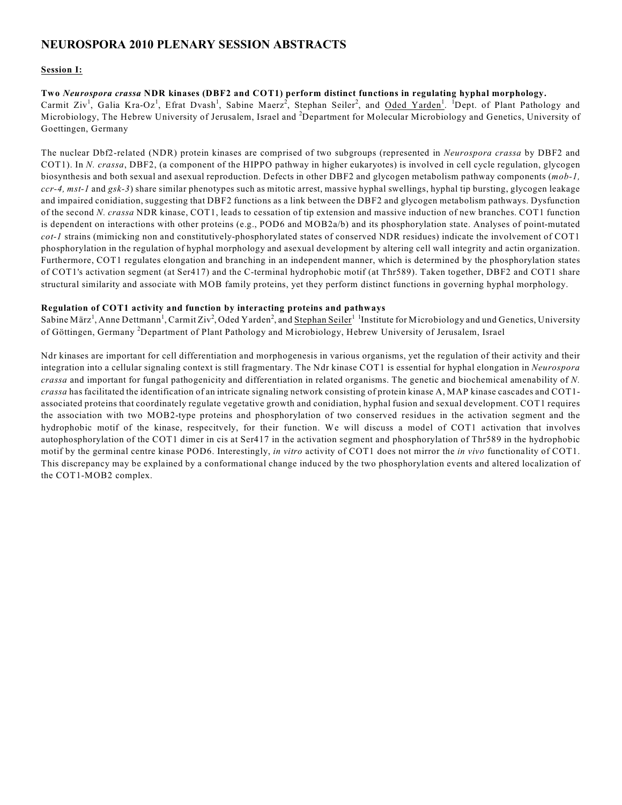## **NEUROSPORA 2010 PLENARY SESSION ABSTRACTS**

## **Session I:**

**Two** *Neurospora crassa* **NDR kinases (DBF2 and COT1) perform distinct functions in regulating hyphal morphology.**  Carmit Ziv<sup>1</sup>, Galia Kra-Oz<sup>1</sup>, Efrat Dvash<sup>1</sup>, Sabine Maerz<sup>2</sup>, Stephan Seiler<sup>2</sup>, and Oded Yarden<sup>1</sup>. <sup>1</sup>Dept. of Plant Pathology and Microbiology, The Hebrew University of Jerusalem, Israel and <sup>2</sup>Department for Molecular Microbiology and Genetics, University of Goettingen, Germany

The nuclear Dbf2-related (NDR) protein kinases are comprised of two subgroups (represented in *Neurospora crassa* by DBF2 and COT1). In *N. crassa*, DBF2, (a component of the HIPPO pathway in higher eukaryotes) is involved in cell cycle regulation, glycogen biosynthesis and both sexual and asexual reproduction. Defects in other DBF2 and glycogen metabolism pathway components (*mob-1, ccr-4, mst-1* and *gsk-3*) share similar phenotypes such as mitotic arrest, massive hyphal swellings, hyphal tip bursting, glycogen leakage and impaired conidiation, suggesting that DBF2 functions as a link between the DBF2 and glycogen metabolism pathways. Dysfunction of the second *N. crassa* NDR kinase, COT1, leads to cessation of tip extension and massive induction of new branches. COT1 function is dependent on interactions with other proteins (e.g., POD6 and MOB2a/b) and its phosphorylation state. Analyses of point-mutated *cot-1* strains (mimicking non and constitutively-phosphorylated states of conserved NDR residues) indicate the involvement of COT1 phosphorylation in the regulation of hyphal morphology and asexual development by altering cell wall integrity and actin organization. Furthermore, COT1 regulates elongation and branching in an independent manner, which is determined by the phosphorylation states of COT1's activation segment (at Ser417) and the C-terminal hydrophobic motif (at Thr589). Taken together, DBF2 and COT1 share structural similarity and associate with MOB family proteins, yet they perform distinct functions in governing hyphal morphology.

## **Regulation of COT1 activity and function by interacting proteins and pathways**

Sabine März<sup>1</sup>, Anne Dettmann<sup>1</sup>, Carmit Ziv<sup>2</sup>, Oded Yarden<sup>2</sup>, and Stephan Seiler<sup>11</sup> Institute for Microbiology and und Genetics, University of Göttingen, Germany <sup>2</sup>Department of Plant Pathology and Microbiology, Hebrew University of Jerusalem, Israel

Ndr kinases are important for cell differentiation and morphogenesis in various organisms, yet the regulation of their activity and their integration into a cellular signaling context is still fragmentary. The Ndr kinase COT1 is essential for hyphal elongation in *Neurospora crassa* and important for fungal pathogenicity and differentiation in related organisms. The genetic and biochemical amenability of *N. crassa* has facilitated the identification of an intricate signaling network consisting of protein kinase A, MAP kinase cascades and COT1 associated proteins that coordinately regulate vegetative growth and conidiation, hyphal fusion and sexual development. COT1 requires the association with two MOB2-type proteins and phosphorylation of two conserved residues in the activation segment and the hydrophobic motif of the kinase, respecitvely, for their function. We will discuss a model of COT1 activation that involves autophosphorylation of the COT1 dimer in cis at Ser417 in the activation segment and phosphorylation of Thr589 in the hydrophobic motif by the germinal centre kinase POD6. Interestingly, *in vitro* activity of COT1 does not mirror the *in vivo* functionality of COT1. This discrepancy may be explained by a conformational change induced by the two phosphorylation events and altered localization of the COT1-MOB2 complex.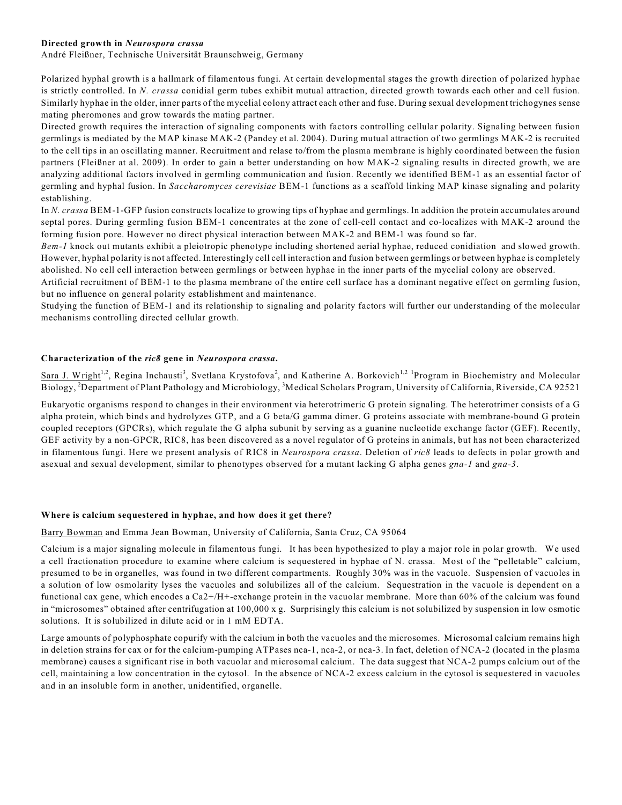## **Directed growth in** *Neurospora crassa*

André Fleißner, Technische Universität Braunschweig, Germany

Polarized hyphal growth is a hallmark of filamentous fungi. At certain developmental stages the growth direction of polarized hyphae is strictly controlled. In *N. crassa* conidial germ tubes exhibit mutual attraction, directed growth towards each other and cell fusion. Similarly hyphae in the older, inner parts of the mycelial colony attract each other and fuse. During sexual development trichogynes sense mating pheromones and grow towards the mating partner.

Directed growth requires the interaction of signaling components with factors controlling cellular polarity. Signaling between fusion germlings is mediated by the MAP kinase MAK-2 (Pandey et al. 2004). During mutual attraction of two germlings MAK-2 is recruited to the cell tips in an oscillating manner. Recruitment and relase to/from the plasma membrane is highly coordinated between the fusion partners (Fleißner at al. 2009). In order to gain a better understanding on how MAK-2 signaling results in directed growth, we are analyzing additional factors involved in germling communication and fusion. Recently we identified BEM-1 as an essential factor of germling and hyphal fusion. In *Saccharomyces cerevisiae* BEM-1 functions as a scaffold linking MAP kinase signaling and polarity establishing.

In *N. crassa* BEM-1-GFP fusion constructs localize to growing tips of hyphae and germlings. In addition the protein accumulates around septal pores. During germling fusion BEM-1 concentrates at the zone of cell-cell contact and co-localizes with MAK-2 around the forming fusion pore. However no direct physical interaction between MAK-2 and BEM-1 was found so far.

*Bem-1* knock out mutants exhibit a pleiotropic phenotype including shortened aerial hyphae, reduced conidiation and slowed growth. However, hyphal polarity is not affected. Interestingly cell cell interaction and fusion between germlings or between hyphae is completely abolished. No cell cell interaction between germlings or between hyphae in the inner parts of the mycelial colony are observed.

Artificial recruitment of BEM-1 to the plasma membrane of the entire cell surface has a dominant negative effect on germling fusion, but no influence on general polarity establishment and maintenance.

Studying the function of BEM-1 and its relationship to signaling and polarity factors will further our understanding of the molecular mechanisms controlling directed cellular growth.

## **Characterization of the** *ric8* **gene in** *Neurospora crassa***.**

Sara J. Wright<sup>1,2</sup>, Regina Inchausti<sup>3</sup>, Svetlana Krystofova<sup>2</sup>, and Katherine A. Borkovich<sup>1,2</sup> <sup>1</sup>Program in Biochemistry and Molecular Biology, <sup>2</sup>Department of Plant Pathology and Microbiology, <sup>3</sup>Medical Scholars Program, University of California, Riverside, CA 92521

Eukaryotic organisms respond to changes in their environment via heterotrimeric G protein signaling. The heterotrimer consists of a G alpha protein, which binds and hydrolyzes GTP, and a G beta/G gamma dimer. G proteins associate with membrane-bound G protein coupled receptors (GPCRs), which regulate the G alpha subunit by serving as a guanine nucleotide exchange factor (GEF). Recently, GEF activity by a non-GPCR, RIC8, has been discovered as a novel regulator of G proteins in animals, but has not been characterized in filamentous fungi. Here we present analysis of RIC8 in *Neurospora crassa*. Deletion of *ric8* leads to defects in polar growth and asexual and sexual development, similar to phenotypes observed for a mutant lacking G alpha genes *gna-1* and *gna-3*.

## **Where is calcium sequestered in hyphae, and how does it get there?**

#### Barry Bowman and Emma Jean Bowman, University of California, Santa Cruz, CA 95064

Calcium is a major signaling molecule in filamentous fungi. It has been hypothesized to play a major role in polar growth. We used a cell fractionation procedure to examine where calcium is sequestered in hyphae of N. crassa. Most of the "pelletable" calcium, presumed to be in organelles, was found in two different compartments. Roughly 30% was in the vacuole. Suspension of vacuoles in a solution of low osmolarity lyses the vacuoles and solubilizes all of the calcium. Sequestration in the vacuole is dependent on a functional cax gene, which encodes a Ca2+/H+-exchange protein in the vacuolar membrane. More than 60% of the calcium was found in "microsomes" obtained after centrifugation at 100,000 x g. Surprisingly this calcium is not solubilized by suspension in low osmotic solutions. It is solubilized in dilute acid or in 1 mM EDTA.

Large amounts of polyphosphate copurify with the calcium in both the vacuoles and the microsomes. Microsomal calcium remains high in deletion strains for cax or for the calcium-pumping ATPases nca-1, nca-2, or nca-3. In fact, deletion of NCA-2 (located in the plasma membrane) causes a significant rise in both vacuolar and microsomal calcium. The data suggest that NCA-2 pumps calcium out of the cell, maintaining a low concentration in the cytosol. In the absence of NCA-2 excess calcium in the cytosol is sequestered in vacuoles and in an insoluble form in another, unidentified, organelle.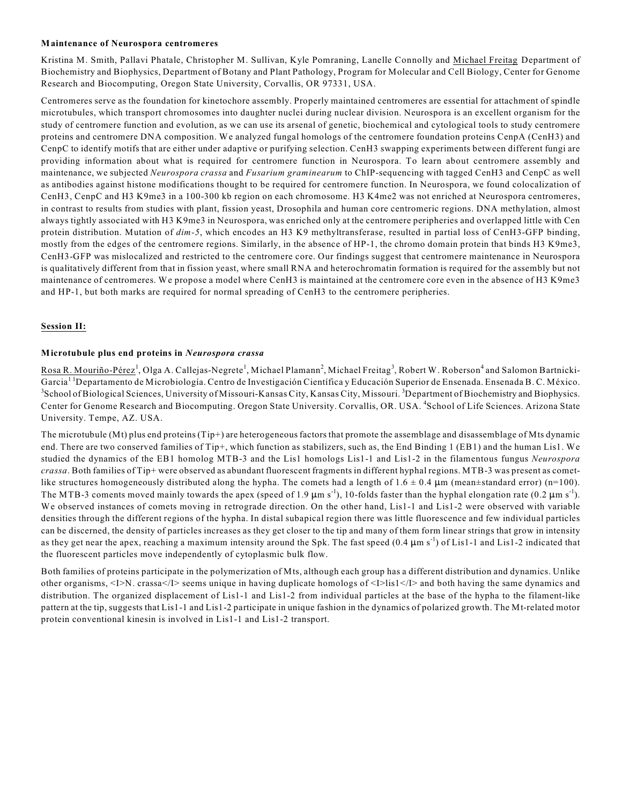#### **Maintenance of Neurospora centromeres**

Kristina M. Smith, Pallavi Phatale, Christopher M. Sullivan, Kyle Pomraning, Lanelle Connolly and Michael Freitag Department of Biochemistry and Biophysics, Department of Botany and Plant Pathology, Program for Molecular and Cell Biology, Center for Genome Research and Biocomputing, Oregon State University, Corvallis, OR 97331, USA.

Centromeres serve as the foundation for kinetochore assembly. Properly maintained centromeres are essential for attachment of spindle microtubules, which transport chromosomes into daughter nuclei during nuclear division. Neurospora is an excellent organism for the study of centromere function and evolution, as we can use its arsenal of genetic, biochemical and cytological tools to study centromere proteins and centromere DNA composition. We analyzed fungal homologs of the centromere foundation proteins CenpA (CenH3) and CenpC to identify motifs that are either under adaptive or purifying selection. CenH3 swapping experiments between different fungi are providing information about what is required for centromere function in Neurospora. To learn about centromere assembly and maintenance, we subjected *Neurospora crassa* and *Fusarium graminearum* to ChIP-sequencing with tagged CenH3 and CenpC as well as antibodies against histone modifications thought to be required for centromere function. In Neurospora, we found colocalization of CenH3, CenpC and H3 K9me3 in a 100-300 kb region on each chromosome. H3 K4me2 was not enriched at Neurospora centromeres, in contrast to results from studies with plant, fission yeast, Drosophila and human core centromeric regions. DNA methylation, almost always tightly associated with H3 K9me3 in Neurospora, was enriched only at the centromere peripheries and overlapped little with Cen protein distribution. Mutation of *dim-5*, which encodes an H3 K9 methyltransferase, resulted in partial loss of CenH3-GFP binding, mostly from the edges of the centromere regions. Similarly, in the absence of HP-1, the chromo domain protein that binds H3 K9me3, CenH3-GFP was mislocalized and restricted to the centromere core. Our findings suggest that centromere maintenance in Neurospora is qualitatively different from that in fission yeast, where small RNA and heterochromatin formation is required for the assembly but not maintenance of centromeres. We propose a model where CenH3 is maintained at the centromere core even in the absence of H3 K9me3 and HP-1, but both marks are required for normal spreading of CenH3 to the centromere peripheries.

## **Session II:**

## **Microtubule plus end proteins in** *Neurospora crassa*

Rosa R. Mouriño-Pérez<sup>1</sup>, Olga A. Callejas-Negrete<sup>1</sup>, Michael Plamann<sup>2</sup>, Michael Freitag<sup>3</sup>, Robert W. Roberson<sup>4</sup> and Salomon Bartnicki-Garcia<sup>11</sup>Departamento de Microbiología. Centro de Investigación Científica y Educación Superior de Ensenada. Ensenada B. C. México. <sup>3</sup>School of Biological Sciences, University of Missouri-Kansas City, Kansas City, Missouri. <sup>3</sup>Department of Biochemistry and Biophysics. Center for Genome Research and Biocomputing. Oregon State University. Corvallis, OR. USA. <sup>4</sup>School of Life Sciences. Arizona State University. Tempe, AZ. USA.

The microtubule (Mt) plus end proteins (Tip+) are heterogeneous factors that promote the assemblage and disassemblage of Mts dynamic end. There are two conserved families of Tip+, which function as stabilizers, such as, the End Binding 1 (EB1) and the human Lis1. We studied the dynamics of the EB1 homolog MTB-3 and the Lis1 homologs Lis1-1 and Lis1-2 in the filamentous fungus *Neurospora crassa*. Both families of Tip+ were observed as abundant fluorescent fragments in different hyphal regions. MTB-3 was present as cometlike structures homogeneously distributed along the hypha. The comets had a length of  $1.6 \pm 0.4 \mu$ m (mean $\pm$ standard error) (n=100). The MTB-3 coments moved mainly towards the apex (speed of 1.9  $\mu$ m s<sup>-1</sup>), 10-folds faster than the hyphal elongation rate (0.2  $\mu$ m s<sup>-1</sup>). We observed instances of comets moving in retrograde direction. On the other hand, Lis1-1 and Lis1-2 were observed with variable densities through the different regions of the hypha. In distal subapical region there was little fluorescence and few individual particles can be discerned, the density of particles increases as they get closer to the tip and many of them form linear strings that grow in intensity as they get near the apex, reaching a maximum intensity around the Spk. The fast speed  $(0.4 \mu m s<sup>-1</sup>)$  of Lis1-1 and Lis1-2 indicated that the fluorescent particles move independently of cytoplasmic bulk flow.

Both families of proteins participate in the polymerization of Mts, although each group has a different distribution and dynamics. Unlike other organisms, <I>N. crassa</I> seems unique in having duplicate homologs of <I>lis1</I> and both having the same dynamics and distribution. The organized displacement of Lis1-1 and Lis1-2 from individual particles at the base of the hypha to the filament-like pattern at the tip, suggests that Lis1-1 and Lis1-2 participate in unique fashion in the dynamics of polarized growth. The Mt-related motor protein conventional kinesin is involved in Lis1-1 and Lis1-2 transport.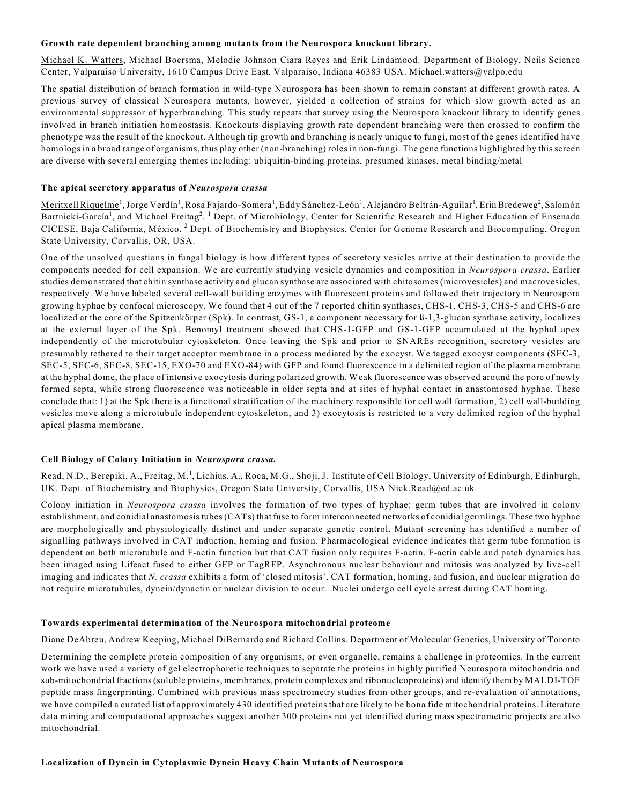#### **Growth rate dependent branching among mutants from the Neurospora knockout library.**

Michael K. Watters, Michael Boersma, Melodie Johnson Ciara Reyes and Erik Lindamood. Department of Biology, Neils Science Center, Valparaiso University, 1610 Campus Drive East, Valparaiso, Indiana 46383 USA. Michael.watters@valpo.edu

The spatial distribution of branch formation in wild-type Neurospora has been shown to remain constant at different growth rates. A previous survey of classical Neurospora mutants, however, yielded a collection of strains for which slow growth acted as an environmental suppressor of hyperbranching. This study repeats that survey using the Neurospora knockout library to identify genes involved in branch initiation homeostasis. Knockouts displaying growth rate dependent branching were then crossed to confirm the phenotype was the result of the knockout. Although tip growth and branching is nearly unique to fungi, most of the genes identified have homologs in a broad range of organisms, thus play other (non-branching) roles in non-fungi. The gene functions highlighted by this screen are diverse with several emerging themes including: ubiquitin-binding proteins, presumed kinases, metal binding/metal

#### **The apical secretory apparatus of** *Neurospora crassa*

Meritxell Riquelme<sup>1</sup>, Jorge Verdín<sup>1</sup>, Rosa Fajardo-Somera<sup>1</sup>, Eddy Sánchez-León<sup>1</sup>, Alejandro Beltrán-Aguilar<sup>1</sup>, Erin Bredeweg<sup>2</sup>, Salomón Bartnicki-García<sup>1</sup>, and Michael Freitag<sup>2</sup>. <sup>1</sup> Dept. of Microbiology, Center for Scientific Research and Higher Education of Ensenada CICESE, Baja California, México. <sup>2</sup> Dept. of Biochemistry and Biophysics, Center for Genome Research and Biocomputing, Oregon State University, Corvallis, OR, USA.

One of the unsolved questions in fungal biology is how different types of secretory vesicles arrive at their destination to provide the components needed for cell expansion. We are currently studying vesicle dynamics and composition in *Neurospora crassa*. Earlier studies demonstrated that chitin synthase activity and glucan synthase are associated with chitosomes (microvesicles) and macrovesicles, respectively. We have labeled several cell-wall building enzymes with fluorescent proteins and followed their trajectory in Neurospora growing hyphae by confocal microscopy. We found that 4 out of the 7 reported chitin synthases, CHS-1, CHS-3, CHS-5 and CHS-6 are localized at the core of the Spitzenkörper (Spk). In contrast, GS-1, a component necessary for ß-1,3-glucan synthase activity, localizes at the external layer of the Spk. Benomyl treatment showed that CHS-1-GFP and GS-1-GFP accumulated at the hyphal apex independently of the microtubular cytoskeleton. Once leaving the Spk and prior to SNAREs recognition, secretory vesicles are presumably tethered to their target acceptor membrane in a process mediated by the exocyst. We tagged exocyst components (SEC-3, SEC-5, SEC-6, SEC-8, SEC-15, EXO-70 and EXO-84) with GFP and found fluorescence in a delimited region of the plasma membrane at the hyphal dome, the place of intensive exocytosis during polarized growth. Weak fluorescence was observed around the pore of newly formed septa, while strong fluorescence was noticeable in older septa and at sites of hyphal contact in anastomosed hyphae. These conclude that: 1) at the Spk there is a functional stratification of the machinery responsible for cell wall formation, 2) cell wall-building vesicles move along a microtubule independent cytoskeleton, and 3) exocytosis is restricted to a very delimited region of the hyphal apical plasma membrane.

## **Cell Biology of Colony Initiation in** *Neurospora crassa.*

Read, N.D., Berepiki, A., Freitag, M.<sup>1</sup>, Lichius, A., Roca, M.G., Shoji, J. Institute of Cell Biology, University of Edinburgh, Edinburgh, UK. Dept. of Biochemistry and Biophysics, Oregon State University, Corvallis, USA Nick.Read@ed.ac.uk

Colony initiation in *Neurospora crassa* involves the formation of two types of hyphae: germ tubes that are involved in colony establishment, and conidial anastomosis tubes (CATs) that fuse to form interconnected networks of conidial germlings. These two hyphae are morphologically and physiologically distinct and under separate genetic control. Mutant screening has identified a number of signalling pathways involved in CAT induction, homing and fusion. Pharmacological evidence indicates that germ tube formation is dependent on both microtubule and F-actin function but that CAT fusion only requires F-actin. F-actin cable and patch dynamics has been imaged using Lifeact fused to either GFP or TagRFP. Asynchronous nuclear behaviour and mitosis was analyzed by live-cell imaging and indicates that *N. crassa* exhibits a form of 'closed mitosis'. CAT formation, homing, and fusion, and nuclear migration do not require microtubules, dynein/dynactin or nuclear division to occur. Nuclei undergo cell cycle arrest during CAT homing.

## **Towards experimental determination of the Neurospora mitochondrial proteome**

Diane DeAbreu, Andrew Keeping, Michael DiBernardo and Richard Collins. Department of Molecular Genetics, University of Toronto

Determining the complete protein composition of any organisms, or even organelle, remains a challenge in proteomics. In the current work we have used a variety of gel electrophoretic techniques to separate the proteins in highly purified Neurospora mitochondria and sub-mitochondrial fractions (soluble proteins, membranes, protein complexes and ribonucleoproteins) and identify them by MALDI-TOF peptide mass fingerprinting. Combined with previous mass spectrometry studies from other groups, and re-evaluation of annotations, we have compiled a curated list of approximately 430 identified proteins that are likely to be bona fide mitochondrial proteins. Literature data mining and computational approaches suggest another 300 proteins not yet identified during mass spectrometric projects are also mitochondrial.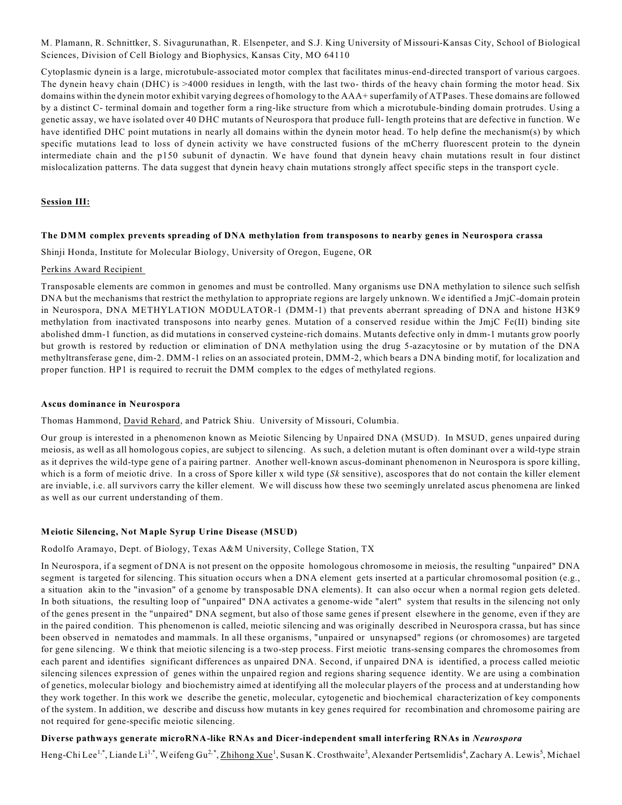M. Plamann, R. Schnittker, S. Sivagurunathan, R. Elsenpeter, and S.J. King University of Missouri-Kansas City, School of Biological Sciences, Division of Cell Biology and Biophysics, Kansas City, MO 64110

Cytoplasmic dynein is a large, microtubule-associated motor complex that facilitates minus-end-directed transport of various cargoes. The dynein heavy chain (DHC) is >4000 residues in length, with the last two- thirds of the heavy chain forming the motor head. Six domains within the dynein motor exhibit varying degrees of homology to the AAA+ superfamily of ATPases. These domains are followed by a distinct C- terminal domain and together form a ring-like structure from which a microtubule-binding domain protrudes. Using a genetic assay, we have isolated over 40 DHC mutants of Neurospora that produce full- length proteins that are defective in function. We have identified DHC point mutations in nearly all domains within the dynein motor head. To help define the mechanism(s) by which specific mutations lead to loss of dynein activity we have constructed fusions of the mCherry fluorescent protein to the dynein intermediate chain and the p150 subunit of dynactin. We have found that dynein heavy chain mutations result in four distinct mislocalization patterns. The data suggest that dynein heavy chain mutations strongly affect specific steps in the transport cycle.

## **Session III:**

#### **The DMM complex prevents spreading of DNA methylation from transposons to nearby genes in Neurospora crassa**

Shinji Honda, Institute for Molecular Biology, University of Oregon, Eugene, OR

#### Perkins Award Recipient

Transposable elements are common in genomes and must be controlled. Many organisms use DNA methylation to silence such selfish DNA but the mechanisms that restrict the methylation to appropriate regions are largely unknown. We identified a JmjC-domain protein in Neurospora, DNA METHYLATION MODULATOR-1 (DMM-1) that prevents aberrant spreading of DNA and histone H3K9 methylation from inactivated transposons into nearby genes. Mutation of a conserved residue within the JmjC Fe(II) binding site abolished dmm-1 function, as did mutations in conserved cysteine-rich domains. Mutants defective only in dmm-1 mutants grow poorly but growth is restored by reduction or elimination of DNA methylation using the drug 5-azacytosine or by mutation of the DNA methyltransferase gene, dim-2. DMM-1 relies on an associated protein, DMM-2, which bears a DNA binding motif, for localization and proper function. HP1 is required to recruit the DMM complex to the edges of methylated regions.

#### **Ascus dominance in Neurospora**

Thomas Hammond, David Rehard, and Patrick Shiu. University of Missouri, Columbia.

Our group is interested in a phenomenon known as Meiotic Silencing by Unpaired DNA (MSUD). In MSUD, genes unpaired during meiosis, as well as all homologous copies, are subject to silencing. As such, a deletion mutant is often dominant over a wild-type strain as it deprives the wild-type gene of a pairing partner. Another well-known ascus-dominant phenomenon in Neurospora is spore killing, which is a form of meiotic drive. In a cross of Spore killer x wild type (*Sk* sensitive), ascospores that do not contain the killer element are inviable, i.e. all survivors carry the killer element. We will discuss how these two seemingly unrelated ascus phenomena are linked as well as our current understanding of them.

## **Meiotic Silencing, Not Maple Syrup Urine Disease (MSUD)**

Rodolfo Aramayo, Dept. of Biology, Texas A&M University, College Station, TX

In Neurospora, if a segment of DNA is not present on the opposite homologous chromosome in meiosis, the resulting "unpaired" DNA segment is targeted for silencing. This situation occurs when a DNA element gets inserted at a particular chromosomal position (e.g., a situation akin to the "invasion" of a genome by transposable DNA elements). It can also occur when a normal region gets deleted. In both situations, the resulting loop of "unpaired" DNA activates a genome-wide "alert" system that results in the silencing not only of the genes present in the "unpaired" DNA segment, but also of those same genes if present elsewhere in the genome, even if they are in the paired condition. This phenomenon is called, meiotic silencing and was originally described in Neurospora crassa, but has since been observed in nematodes and mammals. In all these organisms, "unpaired or unsynapsed" regions (or chromosomes) are targeted for gene silencing. We think that meiotic silencing is a two-step process. First meiotic trans-sensing compares the chromosomes from each parent and identifies significant differences as unpaired DNA. Second, if unpaired DNA is identified, a process called meiotic silencing silences expression of genes within the unpaired region and regions sharing sequence identity. We are using a combination of genetics, molecular biology and biochemistry aimed at identifying all the molecular players of the process and at understanding how they work together. In this work we describe the genetic, molecular, cytogenetic and biochemical characterization of key components of the system. In addition, we describe and discuss how mutants in key genes required for recombination and chromosome pairing are not required for gene-specific meiotic silencing.

## **Diverse pathways generate microRNA-like RNAs and Dicer-independent small interfering RNAs in** *Neurospora*

Heng-Chi Lee<sup>1,\*</sup>, Liande Li<sup>1,\*</sup>, Weifeng Gu<sup>2,\*</sup>, Zhihong Xue<sup>1</sup>, Susan K. Crosthwaite<sup>3</sup>, Alexander Pertsemlidis<sup>4</sup>, Zachary A. Lewis<sup>5</sup>, Michael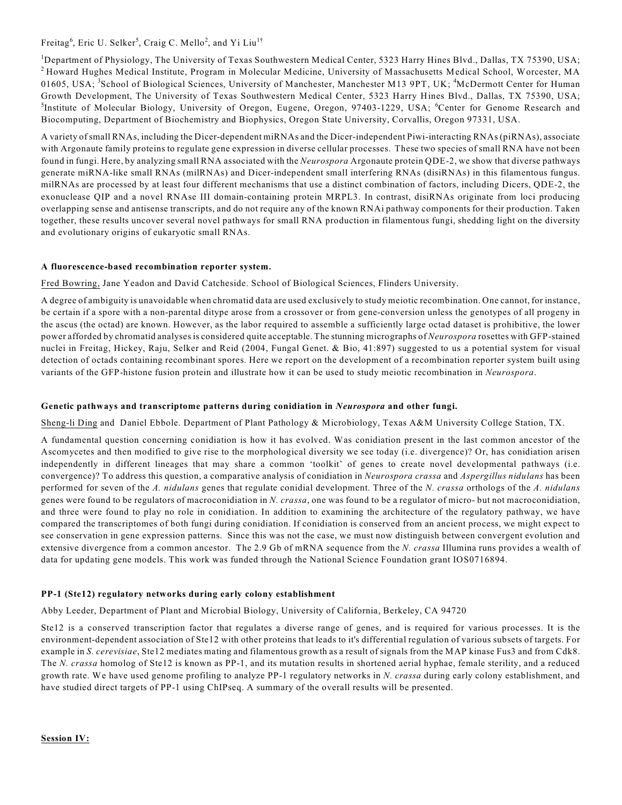Freitag<sup>6</sup>, Eric U. Selker<sup>5</sup>, Craig C. Mello<sup>2</sup>, and Yi Liu<sup>1†</sup>

<sup>1</sup>Department of Physiology, The University of Texas Southwestern Medical Center, 5323 Harry Hines Blvd., Dallas, TX 75390, USA; <sup>2</sup> Howard Hughes Medical Institute, Program in Molecular Medicine, University of Massachusetts Medical School, Worcester, MA 01605, USA; <sup>3</sup>School of Biological Sciences, University of Manchester, Manchester M13 9PT, UK; <sup>4</sup>McDermott Center for Human Growth Development, The University of Texas Southwestern Medical Center, 5323 Harry Hines Blvd., Dallas, TX 75390, USA; <sup>5</sup>Institute of Molecular Biology, University of Oregon, Eugene, Oregon, 97403-1229, USA; <sup>6</sup>Center for Genome Research and Biocomputing, Department of Biochemistry and Biophysics, Oregon State University, Corvallis, Oregon 97331, USA.

A variety of small RNAs, including the Dicer-dependent miRNAs and the Dicer-independent Piwi-interacting RNAs (piRNAs), associate with Argonaute family proteins to regulate gene expression in diverse cellular processes. These two species of small RNA have not been found in fungi. Here, by analyzing small RNA associated with the *Neurospora* Argonaute protein QDE-2, we show that diverse pathways generate miRNA-like small RNAs (milRNAs) and Dicer-independent small interfering RNAs (disiRNAs) in this filamentous fungus. milRNAs are processed by at least four different mechanisms that use a distinct combination of factors, including Dicers, QDE-2, the exonuclease QIP and a novel RNAse III domain-containing protein MRPL3. In contrast, disiRNAs originate from loci producing overlapping sense and antisense transcripts, and do not require any of the known RNAi pathway components for their production. Taken together, these results uncover several novel pathways for small RNA production in filamentous fungi, shedding light on the diversity and evolutionary origins of eukaryotic small RNAs.

## **A fluorescence-based recombination reporter system.**

Fred Bowring, Jane Yeadon and David Catcheside. School of Biological Sciences, Flinders University.

A degree of ambiguity is unavoidable when chromatid data are used exclusively to study meiotic recombination. One cannot, for instance, be certain if a spore with a non-parental ditype arose from a crossover or from gene-conversion unless the genotypes of all progeny in the ascus (the octad) are known. However, as the labor required to assemble a sufficiently large octad dataset is prohibitive, the lower power afforded by chromatid analyses is considered quite acceptable. The stunning micrographs of *Neurospora* rosettes with GFP-stained nuclei in Freitag, Hickey, Raju, Selker and Reid (2004, Fungal Genet. & Bio, 41:897) suggested to us a potential system for visual detection of octads containing recombinant spores. Here we report on the development of a recombination reporter system built using variants of the GFP-histone fusion protein and illustrate how it can be used to study meiotic recombination in *Neurospora*.

## **Genetic pathways and transcriptome patterns during conidiation in** *Neurospora* **and other fungi.**

Sheng-li Ding and Daniel Ebbole. Department of Plant Pathology & Microbiology, Texas A&M University College Station, TX.

A fundamental question concerning conidiation is how it has evolved. Was conidiation present in the last common ancestor of the Ascomycetes and then modified to give rise to the morphological diversity we see today (i.e. divergence)? Or, has conidiation arisen independently in different lineages that may share a common 'toolkit' of genes to create novel developmental pathways (i.e. convergence)? To address this question, a comparative analysis of conidiation in *Neurospora crassa* and *Aspergillus nidulans* has been performed for seven of the *A. nidulans* genes that regulate conidial development. Three of the *N. crassa* orthologs of the *A. nidulans* genes were found to be regulators of macroconidiation in *N. crassa*, one was found to be a regulator of micro- but not macroconidiation, and three were found to play no role in conidiation. In addition to examining the architecture of the regulatory pathway, we have compared the transcriptomes of both fungi during conidiation. If conidiation is conserved from an ancient process, we might expect to see conservation in gene expression patterns. Since this was not the case, we must now distinguish between convergent evolution and extensive divergence from a common ancestor. The 2.9 Gb of mRNA sequence from the *N. crassa* Illumina runs provides a wealth of data for updating gene models. This work was funded through the National Science Foundation grant IOS0716894.

## **PP-1 (Ste12) regulatory networks during early colony establishment**

Abby Leeder, Department of Plant and Microbial Biology, University of California, Berkeley, CA 94720

Ste12 is a conserved transcription factor that regulates a diverse range of genes, and is required for various processes. It is the environment-dependent association of Ste12 with other proteins that leads to it's differential regulation of various subsets of targets. For example in *S. cerevisiae*, Ste12 mediates mating and filamentous growth as a result of signals from the MAP kinase Fus3 and from Cdk8. The *N. crassa* homolog of Ste12 is known as PP-1, and its mutation results in shortened aerial hyphae, female sterility, and a reduced growth rate. We have used genome profiling to analyze PP-1 regulatory networks in *N. crassa* during early colony establishment, and have studied direct targets of PP-1 using ChIPseq. A summary of the overall results will be presented.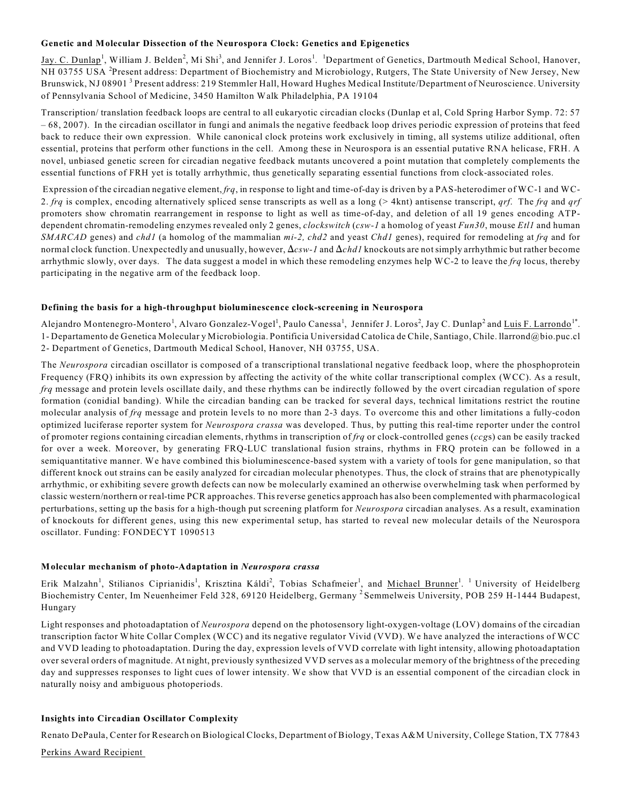#### **Genetic and Molecular Dissection of the Neurospora Clock: Genetics and Epigenetics**

Jay. C. Dunlap<sup>1</sup>, William J. Belden<sup>2</sup>, Mi Shi<sup>3</sup>, and Jennifer J. Loros<sup>1</sup>. <sup>1</sup>Department of Genetics, Dartmouth Medical School, Hanover, NH 03755 USA <sup>2</sup>Present address: Department of Biochemistry and Microbiology, Rutgers, The State University of New Jersey, New Brunswick, NJ 08901<sup>3</sup> Present address: 219 Stemmler Hall, Howard Hughes Medical Institute/Department of Neuroscience. University of Pennsylvania School of Medicine, 3450 Hamilton Walk Philadelphia, PA 19104

Transcription/ translation feedback loops are central to all eukaryotic circadian clocks (Dunlap et al, Cold Spring Harbor Symp. 72: 57 – 68, 2007). In the circadian oscillator in fungi and animals the negative feedback loop drives periodic expression of proteins that feed back to reduce their own expression. While canonical clock proteins work exclusively in timing, all systems utilize additional, often essential, proteins that perform other functions in the cell. Among these in Neurospora is an essential putative RNA helicase, FRH. A novel, unbiased genetic screen for circadian negative feedback mutants uncovered a point mutation that completely complements the essential functions of FRH yet is totally arrhythmic, thus genetically separating essential functions from clock-associated roles.

 Expression of the circadian negative element, *frq*, in response to light and time-of-day is driven by a PAS-heterodimer of WC-1 and WC-2. *frq* is complex, encoding alternatively spliced sense transcripts as well as a long (> 4knt) antisense transcript, *qrf*. The *frq* and *qrf* promoters show chromatin rearrangement in response to light as well as time-of-day, and deletion of all 19 genes encoding ATPdependent chromatin-remodeling enzymes revealed only 2 genes, *clockswitch* (*csw-1* a homolog of yeast *Fun30*, mouse *Etl1* and human *SMARCAD* genes) and *chd1* (a homolog of the mammalian *mi-2, chd2* and yeast *Chd1* genes), required for remodeling at *frq* and for normal clock function. Unexpectedly and unusually, however,  $\Delta csw-1$  and  $\Delta chdl$  knockouts are not simply arrhythmic but rather become arrhythmic slowly, over days. The data suggest a model in which these remodeling enzymes help WC-2 to leave the *frq* locus, thereby participating in the negative arm of the feedback loop.

#### **Defining the basis for a high-throughput bioluminescence clock-screening in Neurospora**

Alejandro Montenegro-Montero<sup>1</sup>, Alvaro Gonzalez-Vogel<sup>1</sup>, Paulo Canessa<sup>1</sup>, Jennifer J. Loros<sup>2</sup>, Jay C. Dunlap<sup>2</sup> and <u>Luis F. Larrondo</u>1\*. 1- Departamento de Genetica Molecular y Microbiologia. Pontificia Universidad Catolica de Chile, Santiago, Chile. llarrond@bio.puc.cl 2- Department of Genetics, Dartmouth Medical School, Hanover, NH 03755, USA.

The *Neurospora* circadian oscillator is composed of a transcriptional translational negative feedback loop, where the phosphoprotein Frequency (FRQ) inhibits its own expression by affecting the activity of the white collar transcriptional complex (WCC). As a result, *frq* message and protein levels oscillate daily, and these rhythms can be indirectly followed by the overt circadian regulation of spore formation (conidial banding). While the circadian banding can be tracked for several days, technical limitations restrict the routine molecular analysis of *frq* message and protein levels to no more than 2-3 days. To overcome this and other limitations a fully-codon optimized luciferase reporter system for *Neurospora crassa* was developed. Thus, by putting this real-time reporter under the control of promoter regions containing circadian elements, rhythms in transcription of *frq* or clock-controlled genes (*ccg*s) can be easily tracked for over a week. Moreover, by generating FRQ-LUC translational fusion strains, rhythms in FRQ protein can be followed in a semiquantitative manner. We have combined this bioluminescence-based system with a variety of tools for gene manipulation, so that different knock out strains can be easily analyzed for circadian molecular phenotypes. Thus, the clock of strains that are phenotypically arrhythmic, or exhibiting severe growth defects can now be molecularly examined an otherwise overwhelming task when performed by classic western/northern or real-time PCR approaches. This reverse genetics approach has also been complemented with pharmacological perturbations, setting up the basis for a high-though put screening platform for *Neurospora* circadian analyses. As a result, examination of knockouts for different genes, using this new experimental setup, has started to reveal new molecular details of the Neurospora oscillator. Funding: FONDECYT 1090513

#### **Molecular mechanism of photo-Adaptation in** *Neurospora crassa*

Erik Malzahn<sup>1</sup>, Stilianos Ciprianidis<sup>1</sup>, Krisztina Káldi<sup>2</sup>, Tobias Schafmeier<sup>1</sup>, and Michael Brunner<sup>1</sup>. <sup>1</sup> University of Heidelberg Biochemistry Center, Im Neuenheimer Feld 328, 69120 Heidelberg, Germany <sup>2</sup> Semmelweis University, POB 259 H-1444 Budapest, Hungary

Light responses and photoadaptation of *Neurospora* depend on the photosensory light-oxygen-voltage (LOV) domains of the circadian transcription factor White Collar Complex (WCC) and its negative regulator Vivid (VVD). We have analyzed the interactions of WCC and VVD leading to photoadaptation. During the day, expression levels of VVD correlate with light intensity, allowing photoadaptation over several orders of magnitude. At night, previously synthesized VVD serves as a molecular memory of the brightness of the preceding day and suppresses responses to light cues of lower intensity. We show that VVD is an essential component of the circadian clock in naturally noisy and ambiguous photoperiods.

## **Insights into Circadian Oscillator Complexity**

Renato DePaula, Center for Research on Biological Clocks, Department of Biology, Texas A&M University, College Station, TX 77843

Perkins Award Recipient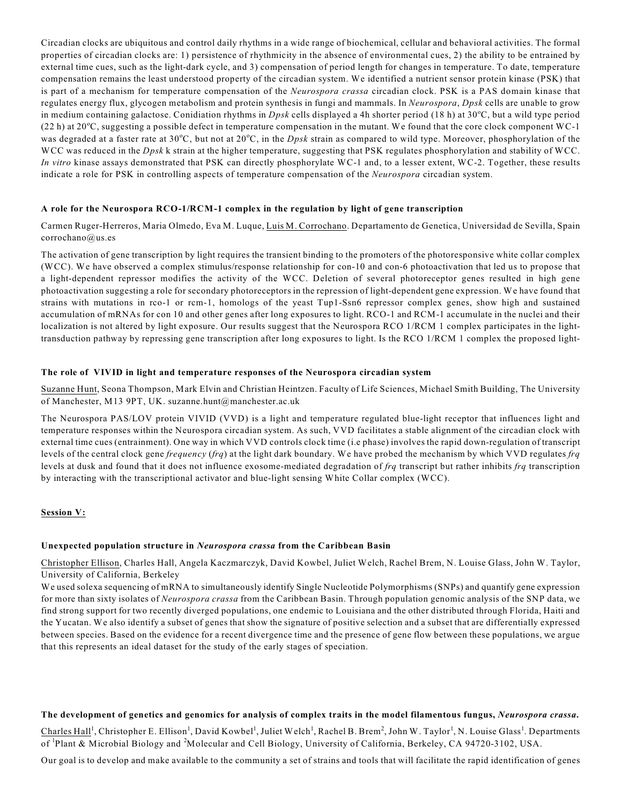Circadian clocks are ubiquitous and control daily rhythms in a wide range of biochemical, cellular and behavioral activities. The formal properties of circadian clocks are: 1) persistence of rhythmicity in the absence of environmental cues, 2) the ability to be entrained by external time cues, such as the light-dark cycle, and 3) compensation of period length for changes in temperature. To date, temperature compensation remains the least understood property of the circadian system. We identified a nutrient sensor protein kinase (PSK) that is part of a mechanism for temperature compensation of the *Neurospora crassa* circadian clock. PSK is a PAS domain kinase that regulates energy flux, glycogen metabolism and protein synthesis in fungi and mammals. In *Neurospora*, *Dpsk* cells are unable to grow in medium containing galactose. Conidiation rhythms in *Dpsk* cells displayed a 4h shorter period (18 h) at 30°C, but a wild type period (22 h) at 20 $^{\circ}$ C, suggesting a possible defect in temperature compensation in the mutant. We found that the core clock component WC-1 was degraded at a faster rate at 30°C, but not at 20°C, in the *Dpsk* strain as compared to wild type. Moreover, phosphorylation of the WCC was reduced in the *Dpsk* k strain at the higher temperature, suggesting that PSK regulates phosphorylation and stability of WCC. *In vitro* kinase assays demonstrated that PSK can directly phosphorylate WC-1 and, to a lesser extent, WC-2. Together, these results indicate a role for PSK in controlling aspects of temperature compensation of the *Neurospora* circadian system.

## **A role for the Neurospora RCO-1/RCM-1 complex in the regulation by light of gene transcription**

Carmen Ruger-Herreros, Maria Olmedo, Eva M. Luque, Luis M. Corrochano. Departamento de Genetica, Universidad de Sevilla, Spain corrochano@us.es

The activation of gene transcription by light requires the transient binding to the promoters of the photoresponsive white collar complex (WCC). We have observed a complex stimulus/response relationship for con-10 and con-6 photoactivation that led us to propose that a light-dependent repressor modifies the activity of the WCC. Deletion of several photoreceptor genes resulted in high gene photoactivation suggesting a role for secondary photoreceptors in the repression of light-dependent gene expression. We have found that strains with mutations in rco-1 or rcm-1, homologs of the yeast Tup1-Ssn6 repressor complex genes, show high and sustained accumulation of mRNAs for con 10 and other genes after long exposures to light. RCO-1 and RCM-1 accumulate in the nuclei and their localization is not altered by light exposure. Our results suggest that the Neurospora RCO 1/RCM 1 complex participates in the lighttransduction pathway by repressing gene transcription after long exposures to light. Is the RCO 1/RCM 1 complex the proposed light-

## **The role of VIVID in light and temperature responses of the Neurospora circadian system**

Suzanne Hunt, Seona Thompson, Mark Elvin and Christian Heintzen. Faculty of Life Sciences, Michael Smith Building, The University of Manchester, M13 9PT, UK. suzanne.hunt@manchester.ac.uk

The Neurospora PAS/LOV protein VIVID (VVD) is a light and temperature regulated blue-light receptor that influences light and temperature responses within the Neurospora circadian system. As such, VVD facilitates a stable alignment of the circadian clock with external time cues (entrainment). One way in which VVD controls clock time (i.e phase) involves the rapid down-regulation of transcript levels of the central clock gene *frequency* (*frq*) at the light dark boundary. We have probed the mechanism by which VVD regulates *frq* levels at dusk and found that it does not influence exosome-mediated degradation of *frq* transcript but rather inhibits *frq* transcription by interacting with the transcriptional activator and blue-light sensing White Collar complex (WCC).

## **Session V:**

#### **Unexpected population structure in** *Neurospora crassa* **from the Caribbean Basin**

Christopher Ellison, Charles Hall, Angela Kaczmarczyk, David Kowbel, Juliet Welch, Rachel Brem, N. Louise Glass, John W. Taylor, University of California, Berkeley

We used solexa sequencing of mRNA to simultaneously identify Single Nucleotide Polymorphisms (SNPs) and quantify gene expression for more than sixty isolates of *Neurospora crassa* from the Caribbean Basin. Through population genomic analysis of the SNP data, we find strong support for two recently diverged populations, one endemic to Louisiana and the other distributed through Florida, Haiti and the Yucatan. We also identify a subset of genes that show the signature of positive selection and a subset that are differentially expressed between species. Based on the evidence for a recent divergence time and the presence of gene flow between these populations, we argue that this represents an ideal dataset for the study of the early stages of speciation.

#### **The development of genetics and genomics for analysis of complex traits in the model filamentous fungus,** *Neurospora crassa***.**

Charles Hall<sup>1</sup>, Christopher E. Ellison<sup>1</sup>, David Kowbel<sup>1</sup>, Juliet Welch<sup>1</sup>, Rachel B. Brem<sup>2</sup>, John W. Taylor<sup>1</sup>, N. Louise Glass<sup>1</sup>. Departments of <sup>1</sup>Plant & Microbial Biology and <sup>2</sup>Molecular and Cell Biology, University of California, Berkeley, CA 94720-3102, USA.

Our goal is to develop and make available to the community a set of strains and tools that will facilitate the rapid identification of genes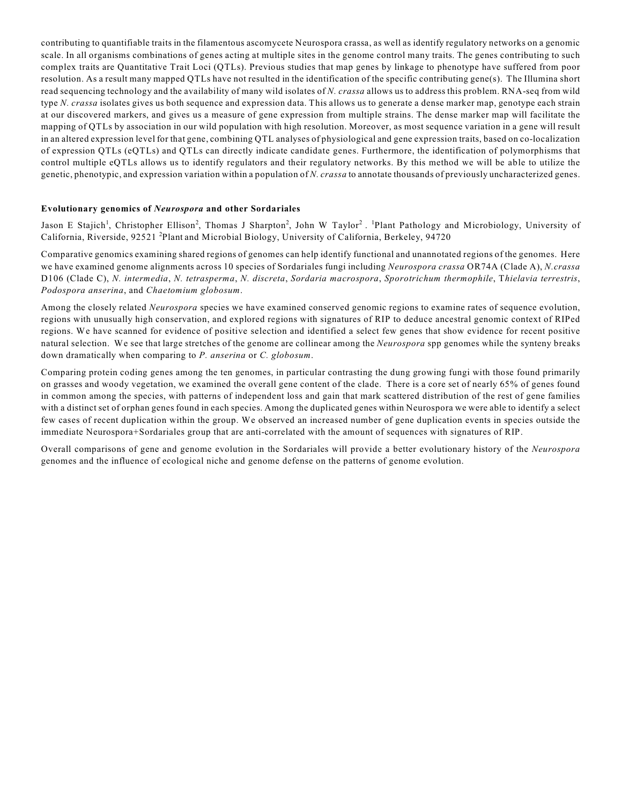contributing to quantifiable traits in the filamentous ascomycete Neurospora crassa, as well as identify regulatory networks on a genomic scale. In all organisms combinations of genes acting at multiple sites in the genome control many traits. The genes contributing to such complex traits are Quantitative Trait Loci (QTLs). Previous studies that map genes by linkage to phenotype have suffered from poor resolution. As a result many mapped QTLs have not resulted in the identification of the specific contributing gene(s). The Illumina short read sequencing technology and the availability of many wild isolates of *N. crassa* allows us to address this problem. RNA-seq from wild type *N. crassa* isolates gives us both sequence and expression data. This allows us to generate a dense marker map, genotype each strain at our discovered markers, and gives us a measure of gene expression from multiple strains. The dense marker map will facilitate the mapping of QTLs by association in our wild population with high resolution. Moreover, as most sequence variation in a gene will result in an altered expression level for that gene, combining QTL analyses of physiological and gene expression traits, based on co-localization of expression QTLs (eQTLs) and QTLs can directly indicate candidate genes. Furthermore, the identification of polymorphisms that control multiple eQTLs allows us to identify regulators and their regulatory networks. By this method we will be able to utilize the genetic, phenotypic, and expression variation within a population of *N. crassa* to annotate thousands of previously uncharacterized genes.

#### **Evolutionary genomics of** *Neurospora* **and other Sordariales**

Jason E Stajich<sup>1</sup>, Christopher Ellison<sup>2</sup>, Thomas J Sharpton<sup>2</sup>, John W Taylor<sup>2</sup>. <sup>1</sup>Plant Pathology and Microbiology, University of California, Riverside, 92521<sup>2</sup> Plant and Microbial Biology, University of California, Berkeley, 94720

Comparative genomics examining shared regions of genomes can help identify functional and unannotated regions of the genomes. Here we have examined genome alignments across 10 species of Sordariales fungi including *Neurospora crassa* OR74A (Clade A), *N.crassa* D106 (Clade C), *N. intermedia*, *N. tetrasperma*, *N. discreta*, *Sordaria macrospora*, *Sporotrichum thermophile*, T*hielavia terrestris*, *Podospora anserina*, and *Chaetomium globosum*.

Among the closely related *Neurospora* species we have examined conserved genomic regions to examine rates of sequence evolution, regions with unusually high conservation, and explored regions with signatures of RIP to deduce ancestral genomic context of RIPed regions. We have scanned for evidence of positive selection and identified a select few genes that show evidence for recent positive natural selection. We see that large stretches of the genome are collinear among the *Neurospora* spp genomes while the synteny breaks down dramatically when comparing to *P. anserina* or *C. globosum*.

Comparing protein coding genes among the ten genomes, in particular contrasting the dung growing fungi with those found primarily on grasses and woody vegetation, we examined the overall gene content of the clade. There is a core set of nearly 65% of genes found in common among the species, with patterns of independent loss and gain that mark scattered distribution of the rest of gene families with a distinct set of orphan genes found in each species. Among the duplicated genes within Neurospora we were able to identify a select few cases of recent duplication within the group. We observed an increased number of gene duplication events in species outside the immediate Neurospora+Sordariales group that are anti-correlated with the amount of sequences with signatures of RIP.

Overall comparisons of gene and genome evolution in the Sordariales will provide a better evolutionary history of the *Neurospora* genomes and the influence of ecological niche and genome defense on the patterns of genome evolution.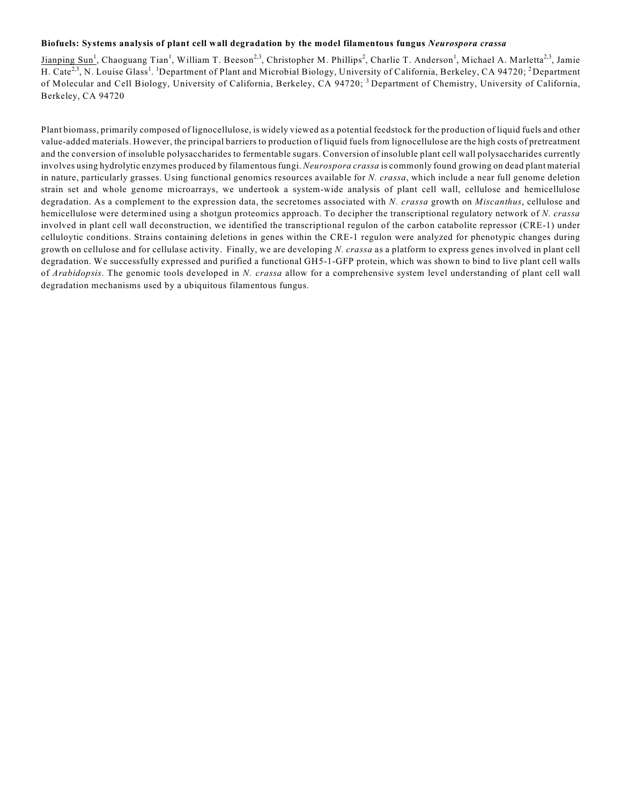#### **Biofuels: Systems analysis of plant cell wall degradation by the model filamentous fungus** *Neurospora crassa*

Jianping Sun<sup>1</sup>, Chaoguang Tian<sup>1</sup>, William T. Beeson<sup>2,3</sup>, Christopher M. Phillips<sup>2</sup>, Charlie T. Anderson<sup>1</sup>, Michael A. Marletta<sup>2,3</sup>, Jamie H. Cate<sup>2,3</sup>, N. Louise Glass<sup>1</sup>. <sup>1</sup>Department of Plant and Microbial Biology, University of California, Berkeley, CA 94720; <sup>2</sup>Department of Molecular and Cell Biology, University of California, Berkeley, CA 94720; <sup>3</sup> Department of Chemistry, University of California, Berkeley, CA 94720

Plant biomass, primarily composed of lignocellulose, is widely viewed as a potential feedstock for the production of liquid fuels and other value-added materials. However, the principal barriers to production of liquid fuels from lignocellulose are the high costs of pretreatment and the conversion of insoluble polysaccharides to fermentable sugars. Conversion of insoluble plant cell wall polysaccharides currently involves using hydrolytic enzymes produced by filamentous fungi. *Neurospora crassa* is commonly found growing on dead plant material in nature, particularly grasses. Using functional genomics resources available for *N. crassa*, which include a near full genome deletion strain set and whole genome microarrays, we undertook a system-wide analysis of plant cell wall, cellulose and hemicellulose degradation. As a complement to the expression data, the secretomes associated with *N. crassa* growth on *Miscanthus*, cellulose and hemicellulose were determined using a shotgun proteomics approach. To decipher the transcriptional regulatory network of *N. crassa* involved in plant cell wall deconstruction, we identified the transcriptional regulon of the carbon catabolite repressor (CRE-1) under celluloytic conditions. Strains containing deletions in genes within the CRE-1 regulon were analyzed for phenotypic changes during growth on cellulose and for cellulase activity. Finally, we are developing *N. crassa* as a platform to express genes involved in plant cell degradation. We successfully expressed and purified a functional GH5-1-GFP protein, which was shown to bind to live plant cell walls of *Arabidopsis*. The genomic tools developed in *N. crassa* allow for a comprehensive system level understanding of plant cell wall degradation mechanisms used by a ubiquitous filamentous fungus.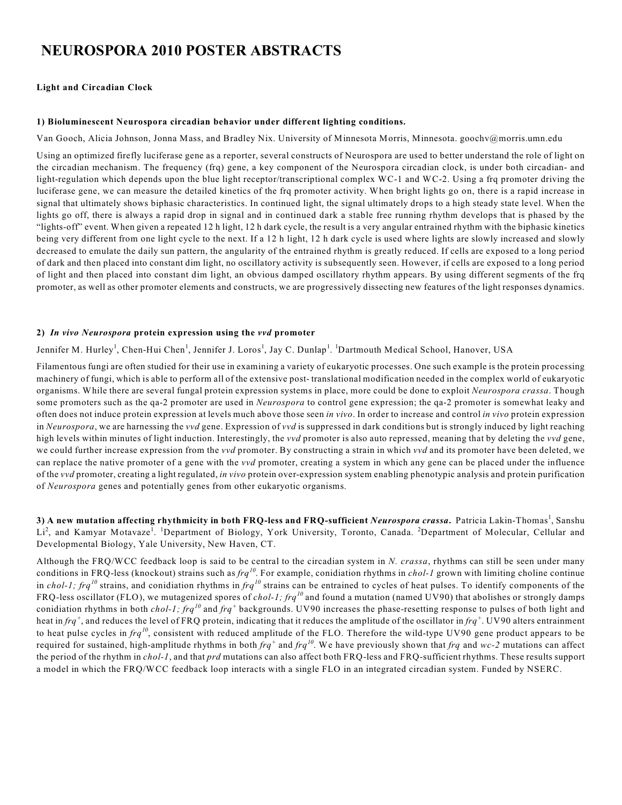# **NEUROSPORA 2010 POSTER ABSTRACTS**

#### **Light and Circadian Clock**

#### **1) Bioluminescent Neurospora circadian behavior under different lighting conditions.**

Van Gooch, Alicia Johnson, Jonna Mass, and Bradley Nix. University of Minnesota Morris, Minnesota. goochv@morris.umn.edu

Using an optimized firefly luciferase gene as a reporter, several constructs of Neurospora are used to better understand the role of light on the circadian mechanism. The frequency (frq) gene, a key component of the Neurospora circadian clock, is under both circadian- and light-regulation which depends upon the blue light receptor/transcriptional complex WC-1 and WC-2. Using a frq promoter driving the luciferase gene, we can measure the detailed kinetics of the frq promoter activity. When bright lights go on, there is a rapid increase in signal that ultimately shows biphasic characteristics. In continued light, the signal ultimately drops to a high steady state level. When the lights go off, there is always a rapid drop in signal and in continued dark a stable free running rhythm develops that is phased by the "lights-off" event. When given a repeated 12 h light, 12 h dark cycle, the result is a very angular entrained rhythm with the biphasic kinetics being very different from one light cycle to the next. If a 12 h light, 12 h dark cycle is used where lights are slowly increased and slowly decreased to emulate the daily sun pattern, the angularity of the entrained rhythm is greatly reduced. If cells are exposed to a long period of dark and then placed into constant dim light, no oscillatory activity is subsequently seen. However, if cells are exposed to a long period of light and then placed into constant dim light, an obvious damped oscillatory rhythm appears. By using different segments of the frq promoter, as well as other promoter elements and constructs, we are progressively dissecting new features of the light responses dynamics.

## **2)** *In vivo Neurospora* **protein expression using the** *vvd* **promoter**

Jennifer M. Hurley<sup>1</sup>, Chen-Hui Chen<sup>1</sup>, Jennifer J. Loros<sup>1</sup>, Jay C. Dunlap<sup>1</sup>. <sup>1</sup>Dartmouth Medical School, Hanover, USA

Filamentous fungi are often studied for their use in examining a variety of eukaryotic processes. One such example is the protein processing machinery of fungi, which is able to perform all of the extensive post- translational modification needed in the complex world of eukaryotic organisms. While there are several fungal protein expression systems in place, more could be done to exploit *Neurospora crassa*. Though some promoters such as the qa-2 promoter are used in *Neurospora* to control gene expression; the qa-2 promoter is somewhat leaky and often does not induce protein expression at levels much above those seen *in vivo*. In order to increase and control *in vivo* protein expression in *Neurospora*, we are harnessing the *vvd* gene. Expression of *vvd* is suppressed in dark conditions but is strongly induced by light reaching high levels within minutes of light induction. Interestingly, the *vvd* promoter is also auto repressed, meaning that by deleting the *vvd* gene, we could further increase expression from the *vvd* promoter. By constructing a strain in which *vvd* and its promoter have been deleted, we can replace the native promoter of a gene with the *vvd* promoter, creating a system in which any gene can be placed under the influence of the *vvd* promoter, creating a light regulated, *in vivo* protein over-expression system enabling phenotypic analysis and protein purification of *Neurospora* genes and potentially genes from other eukaryotic organisms.

**3) A new mutation affecting rhythmicity in both FRQ-less and FRQ-sufficient** *Neurospora crassa***.** Patricia Lakin-Thomas , Sanshu <sup>1</sup> Li<sup>2</sup>, and Kamyar Motavaze<sup>1</sup>. <sup>1</sup>Department of Biology, York University, Toronto, Canada. <sup>2</sup>Department of Molecular, Cellular and Developmental Biology, Yale University, New Haven, CT.

Although the FRQ/WCC feedback loop is said to be central to the circadian system in *N. crassa*, rhythms can still be seen under many conditions in FRQ-less (knockout) strains such as *frq<sup>10</sup>*. For example, conidiation rhythms in *chol-1* grown with limiting choline continue in *chol-1; frq*<sup>10</sup> strains, and conidiation rhythms in *frq*<sup>10</sup> strains can be entrained to cycles of heat pulses. To identify components of the FRQ-less oscillator (FLO), we mutagenized spores of *chol-1; frq<sup>10</sup>* and found a mutation (named UV90) that abolishes or strongly damps conidiation rhythms in both *chol-1; frq*<sup>10</sup> and *frq*<sup>+</sup> backgrounds. UV90 increases the phase-resetting response to pulses of both light and heat in  $frq^+$ , and reduces the level of FRQ protein, indicating that it reduces the amplitude of the oscillator in  $frq^+$ . UV90 alters entrainment to heat pulse cycles in  $frq^{10}$ , consistent with reduced amplitude of the FLO. Therefore the wild-type UV90 gene product appears to be required for sustained, high-amplitude rhythms in both  $frq^+$  and  $frq^{10}$ . We have previously shown that  $frq$  and  $wc-2$  mutations can affect the period of the rhythm in *chol-1*, and that *prd* mutations can also affect both FRQ-less and FRQ-sufficient rhythms. These results support a model in which the FRQ/WCC feedback loop interacts with a single FLO in an integrated circadian system. Funded by NSERC.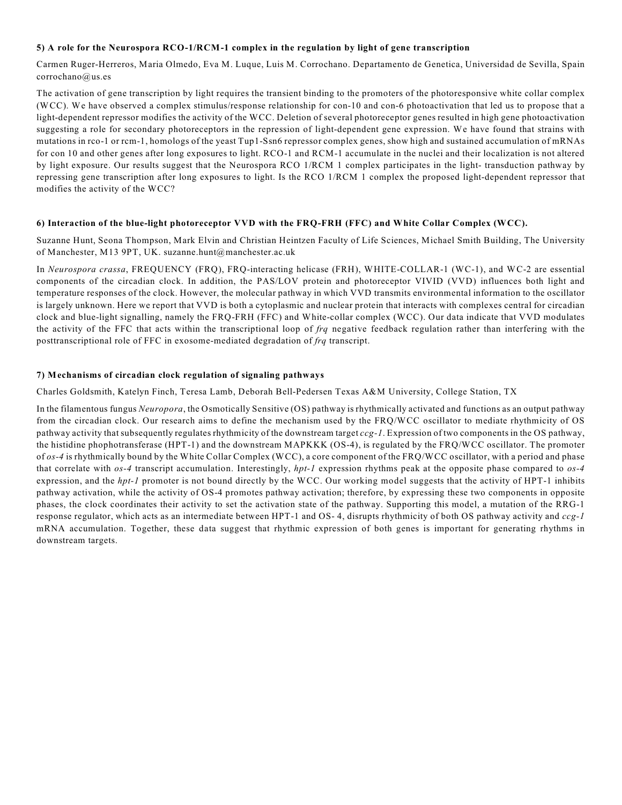#### **5) A role for the Neurospora RCO-1/RCM-1 complex in the regulation by light of gene transcription**

Carmen Ruger-Herreros, Maria Olmedo, Eva M. Luque, Luis M. Corrochano. Departamento de Genetica, Universidad de Sevilla, Spain corrochano@us.es

The activation of gene transcription by light requires the transient binding to the promoters of the photoresponsive white collar complex (WCC). We have observed a complex stimulus/response relationship for con-10 and con-6 photoactivation that led us to propose that a light-dependent repressor modifies the activity of the WCC. Deletion of several photoreceptor genes resulted in high gene photoactivation suggesting a role for secondary photoreceptors in the repression of light-dependent gene expression. We have found that strains with mutations in rco-1 or rcm-1, homologs of the yeast Tup1-Ssn6 repressor complex genes, show high and sustained accumulation of mRNAs for con 10 and other genes after long exposures to light. RCO-1 and RCM-1 accumulate in the nuclei and their localization is not altered by light exposure. Our results suggest that the Neurospora RCO 1/RCM 1 complex participates in the light- transduction pathway by repressing gene transcription after long exposures to light. Is the RCO 1/RCM 1 complex the proposed light-dependent repressor that modifies the activity of the WCC?

#### **6) Interaction of the blue-light photoreceptor VVD with the FRQ-FRH (FFC) and White Collar Complex (WCC).**

Suzanne Hunt, Seona Thompson, Mark Elvin and Christian Heintzen Faculty of Life Sciences, Michael Smith Building, The University of Manchester, M13 9PT, UK. suzanne.hunt@manchester.ac.uk

In *Neurospora crassa*, FREQUENCY (FRQ), FRQ-interacting helicase (FRH), WHITE-COLLAR-1 (WC-1), and WC-2 are essential components of the circadian clock. In addition, the PAS/LOV protein and photoreceptor VIVID (VVD) influences both light and temperature responses of the clock. However, the molecular pathway in which VVD transmits environmental information to the oscillator is largely unknown. Here we report that VVD is both a cytoplasmic and nuclear protein that interacts with complexes central for circadian clock and blue-light signalling, namely the FRQ-FRH (FFC) and White-collar complex (WCC). Our data indicate that VVD modulates the activity of the FFC that acts within the transcriptional loop of *frq* negative feedback regulation rather than interfering with the posttranscriptional role of FFC in exosome-mediated degradation of *frq* transcript.

#### **7) Mechanisms of circadian clock regulation of signaling pathways**

Charles Goldsmith, Katelyn Finch, Teresa Lamb, Deborah Bell-Pedersen Texas A&M University, College Station, TX

In the filamentous fungus *Neuropora*, the Osmotically Sensitive (OS) pathway is rhythmically activated and functions as an output pathway from the circadian clock. Our research aims to define the mechanism used by the FRQ/WCC oscillator to mediate rhythmicity of OS pathway activity that subsequently regulates rhythmicity of the downstream target *ccg-1*. Expression of two components in the OS pathway, the histidine phophotransferase (HPT-1) and the downstream MAPKKK (OS-4), is regulated by the FRQ/WCC oscillator. The promoter of *os-4* is rhythmically bound by the White Collar Complex (WCC), a core component of the FRQ/WCC oscillator, with a period and phase that correlate with *os-4* transcript accumulation. Interestingly, *hpt-1* expression rhythms peak at the opposite phase compared to *os-4* expression, and the *hpt-1* promoter is not bound directly by the WCC. Our working model suggests that the activity of HPT-1 inhibits pathway activation, while the activity of OS-4 promotes pathway activation; therefore, by expressing these two components in opposite phases, the clock coordinates their activity to set the activation state of the pathway. Supporting this model, a mutation of the RRG-1 response regulator, which acts as an intermediate between HPT-1 and OS- 4, disrupts rhythmicity of both OS pathway activity and *ccg-1* mRNA accumulation. Together, these data suggest that rhythmic expression of both genes is important for generating rhythms in downstream targets.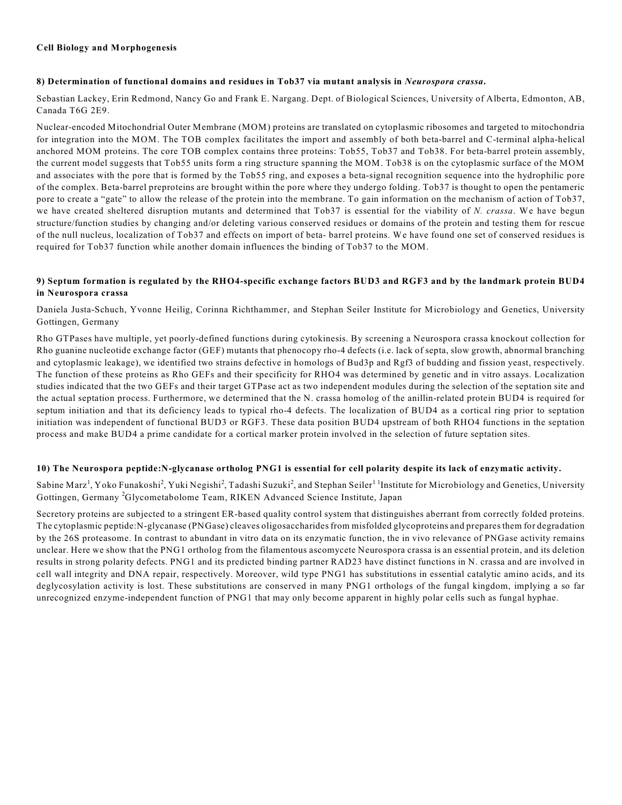#### **Cell Biology and Morphogenesis**

#### **8) Determination of functional domains and residues in Tob37 via mutant analysis in** *Neurospora crassa***.**

Sebastian Lackey, Erin Redmond, Nancy Go and Frank E. Nargang. Dept. of Biological Sciences, University of Alberta, Edmonton, AB, Canada T6G 2E9.

Nuclear-encoded Mitochondrial Outer Membrane (MOM) proteins are translated on cytoplasmic ribosomes and targeted to mitochondria for integration into the MOM. The TOB complex facilitates the import and assembly of both beta-barrel and C-terminal alpha-helical anchored MOM proteins. The core TOB complex contains three proteins: Tob55, Tob37 and Tob38. For beta-barrel protein assembly, the current model suggests that Tob55 units form a ring structure spanning the MOM. Tob38 is on the cytoplasmic surface of the MOM and associates with the pore that is formed by the Tob55 ring, and exposes a beta-signal recognition sequence into the hydrophilic pore of the complex. Beta-barrel preproteins are brought within the pore where they undergo folding. Tob37 is thought to open the pentameric pore to create a "gate" to allow the release of the protein into the membrane. To gain information on the mechanism of action of Tob37, we have created sheltered disruption mutants and determined that Tob37 is essential for the viability of *N. crassa*. We have begun structure/function studies by changing and/or deleting various conserved residues or domains of the protein and testing them for rescue of the null nucleus, localization of Tob37 and effects on import of beta- barrel proteins. We have found one set of conserved residues is required for Tob37 function while another domain influences the binding of Tob37 to the MOM.

## **9) Septum formation is regulated by the RHO4-specific exchange factors BUD3 and RGF3 and by the landmark protein BUD4 in Neurospora crassa**

Daniela Justa-Schuch, Yvonne Heilig, Corinna Richthammer, and Stephan Seiler Institute for Microbiology and Genetics, University Gottingen, Germany

Rho GTPases have multiple, yet poorly-defined functions during cytokinesis. By screening a Neurospora crassa knockout collection for Rho guanine nucleotide exchange factor (GEF) mutants that phenocopy rho-4 defects (i.e. lack of septa, slow growth, abnormal branching and cytoplasmic leakage), we identified two strains defective in homologs of Bud3p and Rgf3 of budding and fission yeast, respectively. The function of these proteins as Rho GEFs and their specificity for RHO4 was determined by genetic and in vitro assays. Localization studies indicated that the two GEFs and their target GTPase act as two independent modules during the selection of the septation site and the actual septation process. Furthermore, we determined that the N. crassa homolog of the anillin-related protein BUD4 is required for septum initiation and that its deficiency leads to typical rho-4 defects. The localization of BUD4 as a cortical ring prior to septation initiation was independent of functional BUD3 or RGF3. These data position BUD4 upstream of both RHO4 functions in the septation process and make BUD4 a prime candidate for a cortical marker protein involved in the selection of future septation sites.

## **10) The Neurospora peptide:N-glycanase ortholog PNG1 is essential for cell polarity despite its lack of enzymatic activity.**

Sabine Marz<sup>1</sup>, Yoko Funakoshi<sup>2</sup>, Yuki Negishi<sup>2</sup>, Tadashi Suzuki<sup>2</sup>, and Stephan Seiler<sup>11</sup> Institute for Microbiology and Genetics, University Gottingen, Germany <sup>2</sup>Glycometabolome Team, RIKEN Advanced Science Institute, Japan

Secretory proteins are subjected to a stringent ER-based quality control system that distinguishes aberrant from correctly folded proteins. The cytoplasmic peptide:N-glycanase (PNGase) cleaves oligosaccharides from misfolded glycoproteins and prepares them for degradation by the 26S proteasome. In contrast to abundant in vitro data on its enzymatic function, the in vivo relevance of PNGase activity remains unclear. Here we show that the PNG1 ortholog from the filamentous ascomycete Neurospora crassa is an essential protein, and its deletion results in strong polarity defects. PNG1 and its predicted binding partner RAD23 have distinct functions in N. crassa and are involved in cell wall integrity and DNA repair, respectively. Moreover, wild type PNG1 has substitutions in essential catalytic amino acids, and its deglycosylation activity is lost. These substitutions are conserved in many PNG1 orthologs of the fungal kingdom, implying a so far unrecognized enzyme-independent function of PNG1 that may only become apparent in highly polar cells such as fungal hyphae.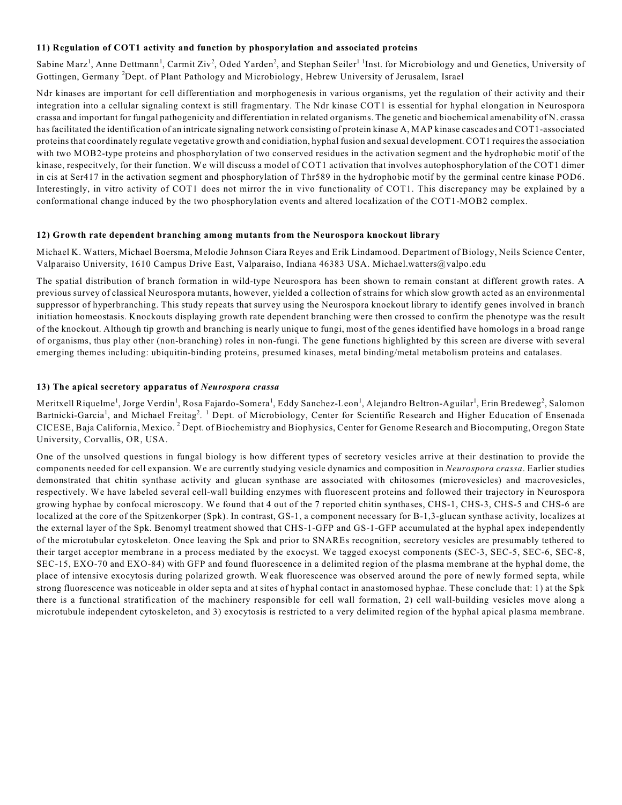## **11) Regulation of COT1 activity and function by phosporylation and associated proteins**

Sabine Marz<sup>1</sup>, Anne Dettmann<sup>1</sup>, Carmit Ziv<sup>2</sup>, Oded Yarden<sup>2</sup>, and Stephan Seiler<sup>11</sup>Inst. for Microbiology and und Genetics, University of Gottingen, Germany <sup>2</sup>Dept. of Plant Pathology and Microbiology, Hebrew University of Jerusalem, Israel

Ndr kinases are important for cell differentiation and morphogenesis in various organisms, yet the regulation of their activity and their integration into a cellular signaling context is still fragmentary. The Ndr kinase COT1 is essential for hyphal elongation in Neurospora crassa and important for fungal pathogenicity and differentiation in related organisms. The genetic and biochemical amenability of N. crassa has facilitated the identification of an intricate signaling network consisting of protein kinase A, MAP kinase cascades and COT1-associated proteins that coordinately regulate vegetative growth and conidiation, hyphal fusion and sexual development. COT1 requires the association with two MOB2-type proteins and phosphorylation of two conserved residues in the activation segment and the hydrophobic motif of the kinase, respecitvely, for their function. We will discuss a model of COT1 activation that involves autophosphorylation of the COT1 dimer in cis at Ser417 in the activation segment and phosphorylation of Thr589 in the hydrophobic motif by the germinal centre kinase POD6. Interestingly, in vitro activity of COT1 does not mirror the in vivo functionality of COT1. This discrepancy may be explained by a conformational change induced by the two phosphorylation events and altered localization of the COT1-MOB2 complex.

## **12) Growth rate dependent branching among mutants from the Neurospora knockout library**

Michael K. Watters, Michael Boersma, Melodie Johnson Ciara Reyes and Erik Lindamood. Department of Biology, Neils Science Center, Valparaiso University, 1610 Campus Drive East, Valparaiso, Indiana 46383 USA. Michael.watters@valpo.edu

The spatial distribution of branch formation in wild-type Neurospora has been shown to remain constant at different growth rates. A previous survey of classical Neurospora mutants, however, yielded a collection of strains for which slow growth acted as an environmental suppressor of hyperbranching. This study repeats that survey using the Neurospora knockout library to identify genes involved in branch initiation homeostasis. Knockouts displaying growth rate dependent branching were then crossed to confirm the phenotype was the result of the knockout. Although tip growth and branching is nearly unique to fungi, most of the genes identified have homologs in a broad range of organisms, thus play other (non-branching) roles in non-fungi. The gene functions highlighted by this screen are diverse with several emerging themes including: ubiquitin-binding proteins, presumed kinases, metal binding/metal metabolism proteins and catalases.

## **13) The apical secretory apparatus of** *Neurospora crassa*

Meritxell Riquelme<sup>1</sup>, Jorge Verdin<sup>1</sup>, Rosa Fajardo-Somera<sup>1</sup>, Eddy Sanchez-Leon<sup>1</sup>, Alejandro Beltron-Aguilar<sup>1</sup>, Erin Bredeweg<sup>2</sup>, Salomon Bartnicki-Garcia<sup>1</sup>, and Michael Freitag<sup>2</sup>. <sup>1</sup> Dept. of Microbiology, Center for Scientific Research and Higher Education of Ensenada CICESE, Baja California, Mexico.<sup>2</sup> Dept. of Biochemistry and Biophysics, Center for Genome Research and Biocomputing, Oregon State University, Corvallis, OR, USA.

One of the unsolved questions in fungal biology is how different types of secretory vesicles arrive at their destination to provide the components needed for cell expansion. We are currently studying vesicle dynamics and composition in *Neurospora crassa*. Earlier studies demonstrated that chitin synthase activity and glucan synthase are associated with chitosomes (microvesicles) and macrovesicles, respectively. We have labeled several cell-wall building enzymes with fluorescent proteins and followed their trajectory in Neurospora growing hyphae by confocal microscopy. We found that 4 out of the 7 reported chitin synthases, CHS-1, CHS-3, CHS-5 and CHS-6 are localized at the core of the Spitzenkorper (Spk). In contrast, GS-1, a component necessary for B-1,3-glucan synthase activity, localizes at the external layer of the Spk. Benomyl treatment showed that CHS-1-GFP and GS-1-GFP accumulated at the hyphal apex independently of the microtubular cytoskeleton. Once leaving the Spk and prior to SNAREs recognition, secretory vesicles are presumably tethered to their target acceptor membrane in a process mediated by the exocyst. We tagged exocyst components (SEC-3, SEC-5, SEC-6, SEC-8, SEC-15, EXO-70 and EXO-84) with GFP and found fluorescence in a delimited region of the plasma membrane at the hyphal dome, the place of intensive exocytosis during polarized growth. Weak fluorescence was observed around the pore of newly formed septa, while strong fluorescence was noticeable in older septa and at sites of hyphal contact in anastomosed hyphae. These conclude that: 1) at the Spk there is a functional stratification of the machinery responsible for cell wall formation, 2) cell wall-building vesicles move along a microtubule independent cytoskeleton, and 3) exocytosis is restricted to a very delimited region of the hyphal apical plasma membrane.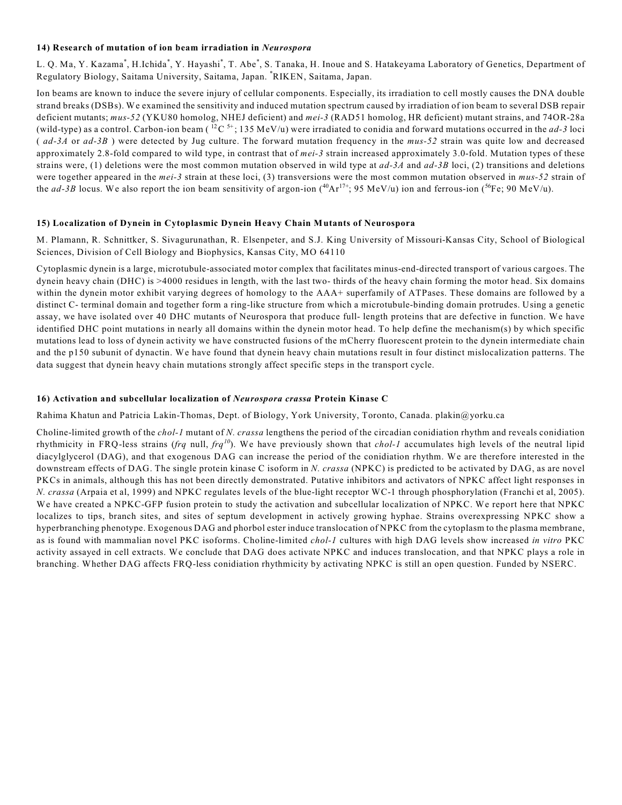#### **14) Research of mutation of ion beam irradiation in** *Neurospora*

L. Q. Ma, Y. Kazama\*, H.Ichida\*, Y. Hayashi\*, T. Abe\*, S. Tanaka, H. Inoue and S. Hatakeyama Laboratory of Genetics, Department of Regulatory Biology, Saitama University, Saitama, Japan. \*RIKEN, Saitama, Japan.

Ion beams are known to induce the severe injury of cellular components. Especially, its irradiation to cell mostly causes the DNA double strand breaks (DSBs). We examined the sensitivity and induced mutation spectrum caused by irradiation of ion beam to several DSB repair deficient mutants; *mus-52* (YKU80 homolog, NHEJ deficient) and *mei-3* (RAD51 homolog, HR deficient) mutant strains, and 74OR-28a (wild-type) as a control. Carbon-ion beam ( ${}^{12}C {}^{5+}$ ; 135 MeV/u) were irradiated to conidia and forward mutations occurred in the *ad*-3 loci ( *ad-3A* or *ad-3B* ) were detected by Jug culture. The forward mutation frequency in the *mus-52* strain was quite low and decreased approximately 2.8-fold compared to wild type, in contrast that of *mei-3* strain increased approximately 3.0-fold. Mutation types of these strains were, (1) deletions were the most common mutation observed in wild type at *ad-3A* and *ad-3B* loci, (2) transitions and deletions were together appeared in the *mei-3* strain at these loci, (3) transversions were the most common mutation observed in *mus-52* strain of the *ad-3B* locus. We also report the ion beam sensitivity of argon-ion  $({}^{40}\text{Ar}^{17+}$ ; 95 MeV/u) ion and ferrous-ion ( ${}^{56}\text{Fe}$ ; 90 MeV/u).

#### **15) Localization of Dynein in Cytoplasmic Dynein Heavy Chain Mutants of Neurospora**

M. Plamann, R. Schnittker, S. Sivagurunathan, R. Elsenpeter, and S.J. King University of Missouri-Kansas City, School of Biological Sciences, Division of Cell Biology and Biophysics, Kansas City, MO 64110

Cytoplasmic dynein is a large, microtubule-associated motor complex that facilitates minus-end-directed transport of various cargoes. The dynein heavy chain (DHC) is >4000 residues in length, with the last two- thirds of the heavy chain forming the motor head. Six domains within the dynein motor exhibit varying degrees of homology to the AAA+ superfamily of ATPases. These domains are followed by a distinct C- terminal domain and together form a ring-like structure from which a microtubule-binding domain protrudes. Using a genetic assay, we have isolated over 40 DHC mutants of Neurospora that produce full- length proteins that are defective in function. We have identified DHC point mutations in nearly all domains within the dynein motor head. To help define the mechanism(s) by which specific mutations lead to loss of dynein activity we have constructed fusions of the mCherry fluorescent protein to the dynein intermediate chain and the p150 subunit of dynactin. We have found that dynein heavy chain mutations result in four distinct mislocalization patterns. The data suggest that dynein heavy chain mutations strongly affect specific steps in the transport cycle.

#### **16) Activation and subcellular localization of** *Neurospora crassa* **Protein Kinase C**

Rahima Khatun and Patricia Lakin-Thomas, Dept. of Biology, York University, Toronto, Canada. plakin@yorku.ca

Choline-limited growth of the *chol-1* mutant of *N. crassa* lengthens the period of the circadian conidiation rhythm and reveals conidiation rhythmicity in FRQ-less strains ( $frq$  null,  $frq^{10}$ ). We have previously shown that *chol-1* accumulates high levels of the neutral lipid diacylglycerol (DAG), and that exogenous DAG can increase the period of the conidiation rhythm. We are therefore interested in the downstream effects of DAG. The single protein kinase C isoform in *N. crassa* (NPKC) is predicted to be activated by DAG, as are novel PKCs in animals, although this has not been directly demonstrated. Putative inhibitors and activators of NPKC affect light responses in *N. crassa* (Arpaia et al, 1999) and NPKC regulates levels of the blue-light receptor WC-1 through phosphorylation (Franchi et al, 2005). We have created a NPKC-GFP fusion protein to study the activation and subcellular localization of NPKC. We report here that NPKC localizes to tips, branch sites, and sites of septum development in actively growing hyphae. Strains overexpressing NPKC show a hyperbranching phenotype. Exogenous DAG and phorbol ester induce translocation of NPKC from the cytoplasm to the plasma membrane, as is found with mammalian novel PKC isoforms. Choline-limited *chol-1* cultures with high DAG levels show increased *in vitro* PKC activity assayed in cell extracts. We conclude that DAG does activate NPKC and induces translocation, and that NPKC plays a role in branching. Whether DAG affects FRQ-less conidiation rhythmicity by activating NPKC is still an open question. Funded by NSERC.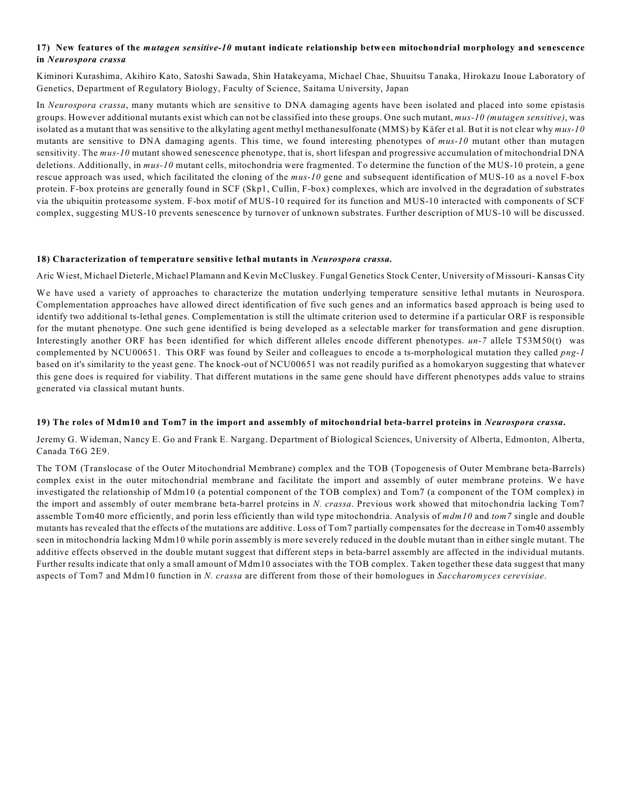## **17) New features of the** *mutagen sensitive-10* **mutant indicate relationship between mitochondrial morphology and senescence in** *Neurospora crassa*

Kiminori Kurashima, Akihiro Kato, Satoshi Sawada, Shin Hatakeyama, Michael Chae, Shuuitsu Tanaka, Hirokazu Inoue Laboratory of Genetics, Department of Regulatory Biology, Faculty of Science, Saitama University, Japan

In *Neurospora crassa*, many mutants which are sensitive to DNA damaging agents have been isolated and placed into some epistasis groups. However additional mutants exist which can not be classified into these groups. One such mutant, *mus-10 (mutagen sensitive)*, was isolated as a mutant that was sensitive to the alkylating agent methyl methanesulfonate (MMS) by Käfer et al. But it is not clear why *mus-10* mutants are sensitive to DNA damaging agents. This time, we found interesting phenotypes of *mus-10* mutant other than mutagen sensitivity. The *mus-10* mutant showed senescence phenotype, that is, short lifespan and progressive accumulation of mitochondrial DNA deletions. Additionally, in *mus-10* mutant cells, mitochondria were fragmented. To determine the function of the MUS-10 protein, a gene rescue approach was used, which facilitated the cloning of the *mus-10* gene and subsequent identification of MUS-10 as a novel F-box protein. F-box proteins are generally found in SCF (Skp1, Cullin, F-box) complexes, which are involved in the degradation of substrates via the ubiquitin proteasome system. F-box motif of MUS-10 required for its function and MUS-10 interacted with components of SCF complex, suggesting MUS-10 prevents senescence by turnover of unknown substrates. Further description of MUS-10 will be discussed.

#### **18) Characterization of temperature sensitive lethal mutants in** *Neurospora crassa.*

Aric Wiest, Michael Dieterle, Michael Plamann and Kevin McCluskey. Fungal Genetics Stock Center, University of Missouri- Kansas City

We have used a variety of approaches to characterize the mutation underlying temperature sensitive lethal mutants in Neurospora. Complementation approaches have allowed direct identification of five such genes and an informatics based approach is being used to identify two additional ts-lethal genes. Complementation is still the ultimate criterion used to determine if a particular ORF is responsible for the mutant phenotype. One such gene identified is being developed as a selectable marker for transformation and gene disruption. Interestingly another ORF has been identified for which different alleles encode different phenotypes. *un-7* allele T53M50(t) was complemented by NCU00651. This ORF was found by Seiler and colleagues to encode a ts-morphological mutation they called *png-1* based on it's similarity to the yeast gene. The knock-out of NCU00651 was not readily purified as a homokaryon suggesting that whatever this gene does is required for viability. That different mutations in the same gene should have different phenotypes adds value to strains generated via classical mutant hunts.

## **19) The roles of Mdm10 and Tom7 in the import and assembly of mitochondrial beta-barrel proteins in** *Neurospora crassa***.**

Jeremy G. Wideman, Nancy E. Go and Frank E. Nargang. Department of Biological Sciences, University of Alberta, Edmonton, Alberta, Canada T6G 2E9.

The TOM (Translocase of the Outer Mitochondrial Membrane) complex and the TOB (Topogenesis of Outer Membrane beta-Barrels) complex exist in the outer mitochondrial membrane and facilitate the import and assembly of outer membrane proteins. We have investigated the relationship of Mdm10 (a potential component of the TOB complex) and Tom7 (a component of the TOM complex) in the import and assembly of outer membrane beta-barrel proteins in *N. crassa*. Previous work showed that mitochondria lacking Tom7 assemble Tom40 more efficiently, and porin less efficiently than wild type mitochondria. Analysis of *mdm10* and *tom7* single and double mutants has revealed that the effects of the mutations are additive. Loss of Tom7 partially compensates for the decrease in Tom40 assembly seen in mitochondria lacking Mdm10 while porin assembly is more severely reduced in the double mutant than in either single mutant. The additive effects observed in the double mutant suggest that different steps in beta-barrel assembly are affected in the individual mutants. Further results indicate that only a small amount of Mdm10 associates with the TOB complex. Taken together these data suggest that many aspects of Tom7 and Mdm10 function in *N. crassa* are different from those of their homologues in *Saccharomyces cerevisiae*.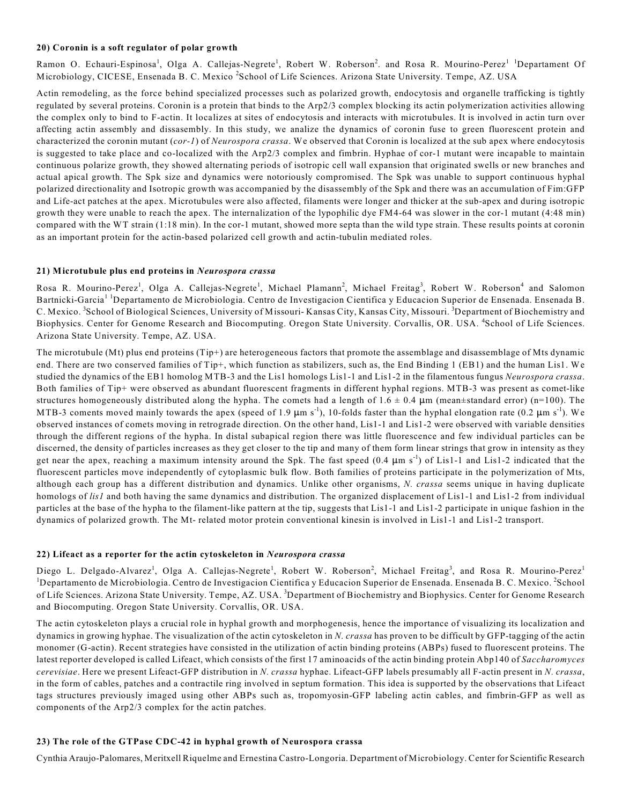#### **20) Coronin is a soft regulator of polar growth**

Ramon O. Echauri-Espinosa<sup>1</sup>, Olga A. Callejas-Negrete<sup>1</sup>, Robert W. Roberson<sup>2</sup>. and Rosa R. Mourino-Perez<sup>1 1</sup>Departament Of Microbiology, CICESE, Ensenada B. C. Mexico <sup>2</sup>School of Life Sciences. Arizona State University. Tempe, AZ. USA

Actin remodeling, as the force behind specialized processes such as polarized growth, endocytosis and organelle trafficking is tightly regulated by several proteins. Coronin is a protein that binds to the Arp2/3 complex blocking its actin polymerization activities allowing the complex only to bind to F-actin. It localizes at sites of endocytosis and interacts with microtubules. It is involved in actin turn over affecting actin assembly and dissasembly. In this study, we analize the dynamics of coronin fuse to green fluorescent protein and characterized the coronin mutant (*cor-1*) of *Neurospora crassa*. We observed that Coronin is localized at the sub apex where endocytosis is suggested to take place and co-localized with the Arp2/3 complex and fimbrin. Hyphae of cor-1 mutant were incapable to maintain continuous polarize growth, they showed alternating periods of isotropic cell wall expansion that originated swells or new branches and actual apical growth. The Spk size and dynamics were notoriously compromised. The Spk was unable to support continuous hyphal polarized directionality and Isotropic growth was accompanied by the disassembly of the Spk and there was an accumulation of Fim:GFP and Life-act patches at the apex. Microtubules were also affected, filaments were longer and thicker at the sub-apex and during isotropic growth they were unable to reach the apex. The internalization of the lypophilic dye FM4-64 was slower in the cor-1 mutant (4:48 min) compared with the WT strain (1:18 min). In the cor-1 mutant, showed more septa than the wild type strain. These results points at coronin as an important protein for the actin-based polarized cell growth and actin-tubulin mediated roles.

#### **21) Microtubule plus end proteins in** *Neurospora crassa*

Rosa R. Mourino-Perez<sup>1</sup>, Olga A. Callejas-Negrete<sup>1</sup>, Michael Plamann<sup>2</sup>, Michael Freitag<sup>3</sup>, Robert W. Roberson<sup>4</sup> and Salomon Bartnicki-Garcia<sup>11</sup>Departamento de Microbiologia. Centro de Investigacion Cientifica y Educacion Superior de Ensenada. Ensenada B. C. Mexico. <sup>3</sup>School of Biological Sciences, University of Missouri- Kansas City, Kansas City, Missouri. <sup>3</sup>Department of Biochemistry and Biophysics. Center for Genome Research and Biocomputing. Oregon State University. Corvallis, OR. USA. <sup>4</sup>School of Life Sciences. Arizona State University. Tempe, AZ. USA.

The microtubule (Mt) plus end proteins (Tip+) are heterogeneous factors that promote the assemblage and disassemblage of Mts dynamic end. There are two conserved families of Tip+, which function as stabilizers, such as, the End Binding 1 (EB1) and the human Lis1. We studied the dynamics of the EB1 homolog MTB-3 and the Lis1 homologs Lis1-1 and Lis1-2 in the filamentous fungus *Neurospora crassa*. Both families of Tip+ were observed as abundant fluorescent fragments in different hyphal regions. MTB-3 was present as comet-like structures homogeneously distributed along the hypha. The comets had a length of  $1.6 \pm 0.4 \mu$ m (mean±standard error) (n=100). The MTB-3 coments moved mainly towards the apex (speed of 1.9  $\mu$ m s<sup>-1</sup>), 10-folds faster than the hyphal elongation rate (0.2  $\mu$ m s<sup>-1</sup>). We observed instances of comets moving in retrograde direction. On the other hand, Lis1-1 and Lis1-2 were observed with variable densities through the different regions of the hypha. In distal subapical region there was little fluorescence and few individual particles can be discerned, the density of particles increases as they get closer to the tip and many of them form linear strings that grow in intensity as they get near the apex, reaching a maximum intensity around the Spk. The fast speed  $(0.4 \mu m s<sup>-1</sup>)$  of Lis1-1 and Lis1-2 indicated that the fluorescent particles move independently of cytoplasmic bulk flow. Both families of proteins participate in the polymerization of Mts, although each group has a different distribution and dynamics. Unlike other organisms, *N. crassa* seems unique in having duplicate homologs of *lis1* and both having the same dynamics and distribution. The organized displacement of Lis1-1 and Lis1-2 from individual particles at the base of the hypha to the filament-like pattern at the tip, suggests that Lis1-1 and Lis1-2 participate in unique fashion in the dynamics of polarized growth. The Mt- related motor protein conventional kinesin is involved in Lis1-1 and Lis1-2 transport.

#### **22) Lifeact as a reporter for the actin cytoskeleton in** *Neurospora crassa*

Diego L. Delgado-Alvarez<sup>1</sup>, Olga A. Callejas-Negrete<sup>1</sup>, Robert W. Roberson<sup>2</sup>, Michael Freitag<sup>3</sup>, and Rosa R. Mourino-Perez<sup>1</sup>  $^1$ Departamento de Microbiologia. Centro de Investigacion Cientifica y Educacion Superior de Ensenada. Ensenada B. C. Mexico. <sup>2</sup>School of Life Sciences. Arizona State University. Tempe, AZ. USA. <sup>3</sup>Department of Biochemistry and Biophysics. Center for Genome Research and Biocomputing. Oregon State University. Corvallis, OR. USA.

The actin cytoskeleton plays a crucial role in hyphal growth and morphogenesis, hence the importance of visualizing its localization and dynamics in growing hyphae. The visualization of the actin cytoskeleton in *N. crassa* has proven to be difficult by GFP-tagging of the actin monomer (G-actin). Recent strategies have consisted in the utilization of actin binding proteins (ABPs) fused to fluorescent proteins. The latest reporter developed is called Lifeact, which consists of the first 17 aminoacids of the actin binding protein Abp140 of *Saccharomyces cerevisiae*. Here we present Lifeact-GFP distribution in *N. crassa* hyphae. Lifeact-GFP labels presumably all F-actin present in *N. crassa*, in the form of cables, patches and a contractile ring involved in septum formation. This idea is supported by the observations that Lifeact tags structures previously imaged using other ABPs such as, tropomyosin-GFP labeling actin cables, and fimbrin-GFP as well as components of the Arp2/3 complex for the actin patches.

## **23) The role of the GTPase CDC-42 in hyphal growth of Neurospora crassa**

Cynthia Araujo-Palomares, Meritxell Riquelme and Ernestina Castro-Longoria. Department of Microbiology. Center for Scientific Research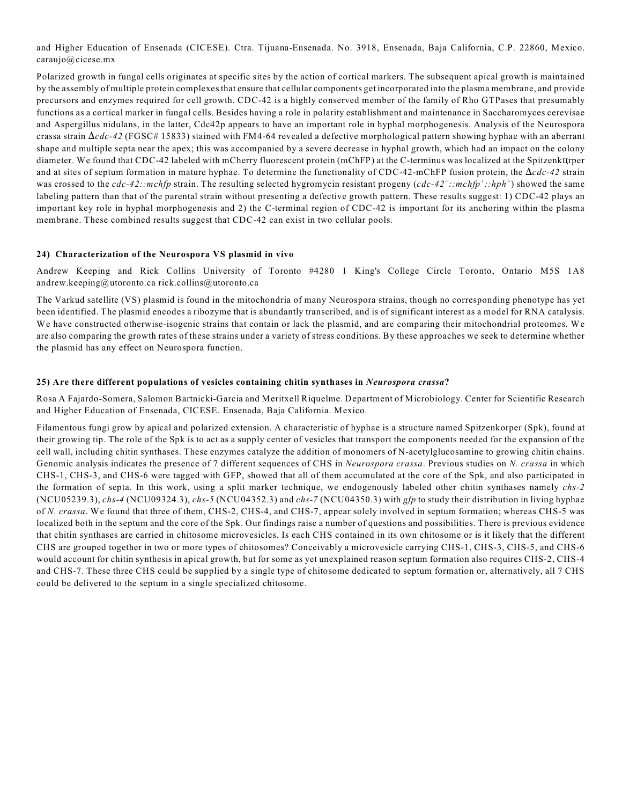and Higher Education of Ensenada (CICESE). Ctra. Tijuana-Ensenada. No. 3918, Ensenada, Baja California, C.P. 22860, Mexico. caraujo@cicese.mx

Polarized growth in fungal cells originates at specific sites by the action of cortical markers. The subsequent apical growth is maintained by the assembly of multiple protein complexes that ensure that cellular components get incorporated into the plasma membrane, and provide precursors and enzymes required for cell growth. CDC-42 is a highly conserved member of the family of Rho GTPases that presumably functions as a cortical marker in fungal cells. Besides having a role in polarity establishment and maintenance in Saccharomyces cerevisae and Aspergillus nidulans, in the latter, Cdc42p appears to have an important role in hyphal morphogenesis. Analysis of the Neurospora crassa strain  $\Delta cdc-42$  (FGSC# 15833) stained with FM4-64 revealed a defective morphological pattern showing hyphae with an aberrant shape and multiple septa near the apex; this was accompanied by a severe decrease in hyphal growth, which had an impact on the colony diameter. We found that CDC-42 labeled with mCherry fluorescent protein (mChFP) at the C-terminus was localized at the SpitzenkIIrper and at sites of septum formation in mature hyphae. To determine the functionality of CDC-42-mChFP fusion protein, the  $\Delta cdc-42$  strain was crossed to the *cdc-42::mchfp* strain. The resulting selected hygromycin resistant progeny (*cdc-42<sup>+</sup>::mchfp<sup>+</sup>::hph<sup>+</sup>*) showed the same labeling pattern than that of the parental strain without presenting a defective growth pattern. These results suggest: 1) CDC-42 plays an important key role in hyphal morphogenesis and 2) the C-terminal region of CDC-42 is important for its anchoring within the plasma membrane. These combined results suggest that CDC-42 can exist in two cellular pools.

## **24) Characterization of the Neurospora VS plasmid in vivo**

Andrew Keeping and Rick Collins University of Toronto #4280 1 King's College Circle Toronto, Ontario M5S 1A8 andrew.keeping@utoronto.ca rick.collins@utoronto.ca

The Varkud satellite (VS) plasmid is found in the mitochondria of many Neurospora strains, though no corresponding phenotype has yet been identified. The plasmid encodes a ribozyme that is abundantly transcribed, and is of significant interest as a model for RNA catalysis. We have constructed otherwise-isogenic strains that contain or lack the plasmid, and are comparing their mitochondrial proteomes. We are also comparing the growth rates of these strains under a variety of stress conditions. By these approaches we seek to determine whether the plasmid has any effect on Neurospora function.

## **25) Are there different populations of vesicles containing chitin synthases in** *Neurospora crassa***?**

Rosa A Fajardo-Somera, Salomon Bartnicki-Garcia and Meritxell Riquelme. Department of Microbiology. Center for Scientific Research and Higher Education of Ensenada, CICESE. Ensenada, Baja California. Mexico.

Filamentous fungi grow by apical and polarized extension. A characteristic of hyphae is a structure named Spitzenkorper (Spk), found at their growing tip. The role of the Spk is to act as a supply center of vesicles that transport the components needed for the expansion of the cell wall, including chitin synthases. These enzymes catalyze the addition of monomers of N-acetylglucosamine to growing chitin chains. Genomic analysis indicates the presence of 7 different sequences of CHS in *Neurospora crassa*. Previous studies on *N. crassa* in which CHS-1, CHS-3, and CHS-6 were tagged with GFP, showed that all of them accumulated at the core of the Spk, and also participated in the formation of septa. In this work, using a split marker technique, we endogenously labeled other chitin synthases namely *chs-2* (NCU05239.3), *chs-4* (NCU09324.3), *chs-5* (NCU04352.3) and *chs-7* (NCU04350.3) with *gfp* to study their distribution in living hyphae of *N. crassa*. We found that three of them, CHS-2, CHS-4, and CHS-7, appear solely involved in septum formation; whereas CHS-5 was localized both in the septum and the core of the Spk. Our findings raise a number of questions and possibilities. There is previous evidence that chitin synthases are carried in chitosome microvesicles. Is each CHS contained in its own chitosome or is it likely that the different CHS are grouped together in two or more types of chitosomes? Conceivably a microvesicle carrying CHS-1, CHS-3, CHS-5, and CHS-6 would account for chitin synthesis in apical growth, but for some as yet unexplained reason septum formation also requires CHS-2, CHS-4 and CHS-7. These three CHS could be supplied by a single type of chitosome dedicated to septum formation or, alternatively, all 7 CHS could be delivered to the septum in a single specialized chitosome.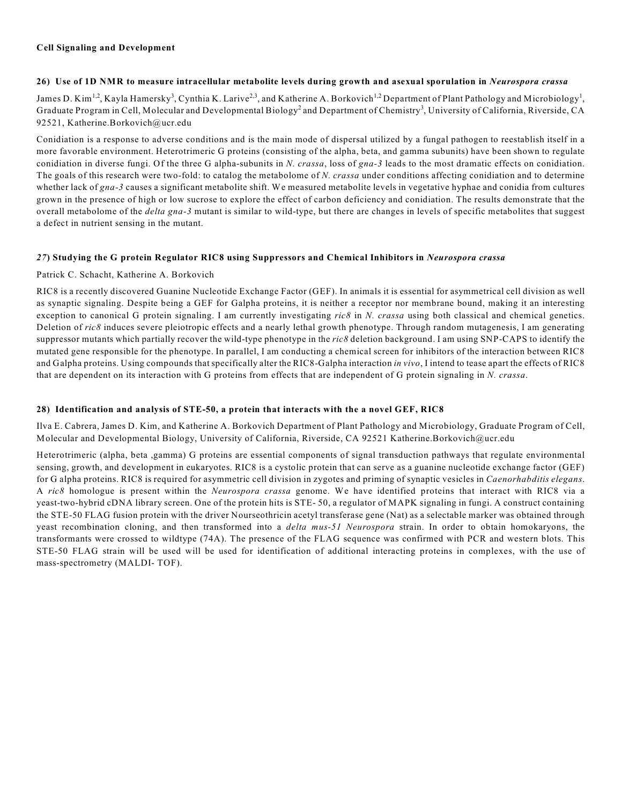## **Cell Signaling and Development**

## **26) Use of 1D NMR to measure intracellular metabolite levels during growth and asexual sporulation in** *Neurospora crassa*

James D. Kim  $^{1,2}$ , Kayla Hamersky $^3$ , Cynthia K. Larive $^{2,3}$ , and Katherine A. Borkovich  $^{1,2}$  Department of Plant Pathology and Microbiology  $^1$ , Graduate Program in Cell, Molecular and Developmental Biology<sup>2</sup> and Department of Chemistry<sup>3</sup>, University of California, Riverside, CA 92521, Katherine.Borkovich@ucr.edu

Conidiation is a response to adverse conditions and is the main mode of dispersal utilized by a fungal pathogen to reestablish itself in a more favorable environment. Heterotrimeric G proteins (consisting of the alpha, beta, and gamma subunits) have been shown to regulate conidiation in diverse fungi. Of the three G alpha-subunits in *N. crassa*, loss of *gna-3* leads to the most dramatic effects on conidiation. The goals of this research were two-fold: to catalog the metabolome of *N. crassa* under conditions affecting conidiation and to determine whether lack of *gna-3* causes a significant metabolite shift. We measured metabolite levels in vegetative hyphae and conidia from cultures grown in the presence of high or low sucrose to explore the effect of carbon deficiency and conidiation. The results demonstrate that the overall metabolome of the *delta gna-3* mutant is similar to wild-type, but there are changes in levels of specific metabolites that suggest a defect in nutrient sensing in the mutant.

## *27***) Studying the G protein Regulator RIC8 using Suppressors and Chemical Inhibitors in** *Neurospora crassa*

## Patrick C. Schacht, Katherine A. Borkovich

RIC8 is a recently discovered Guanine Nucleotide Exchange Factor (GEF). In animals it is essential for asymmetrical cell division as well as synaptic signaling. Despite being a GEF for Galpha proteins, it is neither a receptor nor membrane bound, making it an interesting exception to canonical G protein signaling. I am currently investigating *ric8* in *N. crassa* using both classical and chemical genetics. Deletion of *ric8* induces severe pleiotropic effects and a nearly lethal growth phenotype. Through random mutagenesis, I am generating suppressor mutants which partially recover the wild-type phenotype in the *ric8* deletion background. I am using SNP-CAPS to identify the mutated gene responsible for the phenotype. In parallel, I am conducting a chemical screen for inhibitors of the interaction between RIC8 and Galpha proteins. Using compounds that specifically alter the RIC8-Galpha interaction *in vivo*, I intend to tease apart the effects of RIC8 that are dependent on its interaction with G proteins from effects that are independent of G protein signaling in *N. crassa*.

## **28) Identification and analysis of STE-50, a protein that interacts with the a novel GEF, RIC8**

Ilva E. Cabrera, James D. Kim, and Katherine A. Borkovich Department of Plant Pathology and Microbiology, Graduate Program of Cell, Molecular and Developmental Biology, University of California, Riverside, CA 92521 Katherine.Borkovich@ucr.edu

Heterotrimeric (alpha, beta ,gamma) G proteins are essential components of signal transduction pathways that regulate environmental sensing, growth, and development in eukaryotes. RIC8 is a cystolic protein that can serve as a guanine nucleotide exchange factor (GEF) for G alpha proteins. RIC8 is required for asymmetric cell division in zygotes and priming of synaptic vesicles in *Caenorhabditis elegans*. A *ric8* homologue is present within the *Neurospora crassa* genome. We have identified proteins that interact with RIC8 via a yeast-two-hybrid cDNA library screen. One of the protein hits is STE- 50, a regulator of MAPK signaling in fungi. A construct containing the STE-50 FLAG fusion protein with the driver Nourseothricin acetyl transferase gene (Nat) as a selectable marker was obtained through yeast recombination cloning, and then transformed into a *delta mus-51 Neurospora* strain. In order to obtain homokaryons, the transformants were crossed to wildtype (74A). The presence of the FLAG sequence was confirmed with PCR and western blots. This STE-50 FLAG strain will be used will be used for identification of additional interacting proteins in complexes, with the use of mass-spectrometry (MALDI- TOF).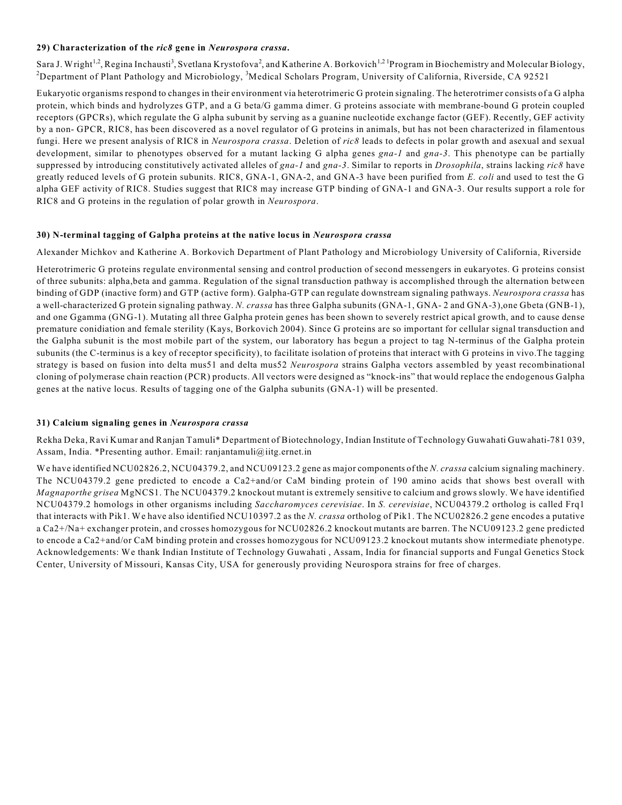## **29) Characterization of the** *ric8* **gene in** *Neurospora crassa***.**

Sara J. Wright<sup>1,2</sup>, Regina Inchausti<sup>3</sup>, Svetlana Krystofova<sup>2</sup>, and Katherine A. Borkovich<sup>1,21</sup> Program in Biochemistry and Molecular Biology, <sup>2</sup>Department of Plant Pathology and Microbiology, <sup>3</sup>Medical Scholars Program, University of California, Riverside, CA 92521

Eukaryotic organisms respond to changes in their environment via heterotrimeric G protein signaling. The heterotrimer consists of a G alpha protein, which binds and hydrolyzes GTP, and a G beta/G gamma dimer. G proteins associate with membrane-bound G protein coupled receptors (GPCRs), which regulate the G alpha subunit by serving as a guanine nucleotide exchange factor (GEF). Recently, GEF activity by a non- GPCR, RIC8, has been discovered as a novel regulator of G proteins in animals, but has not been characterized in filamentous fungi. Here we present analysis of RIC8 in *Neurospora crassa*. Deletion of *ric8* leads to defects in polar growth and asexual and sexual development, similar to phenotypes observed for a mutant lacking G alpha genes *gna-1* and *gna-3*. This phenotype can be partially suppressed by introducing constitutively activated alleles of *gna-1* and *gna-3*. Similar to reports in *Drosophila*, strains lacking *ric8* have greatly reduced levels of G protein subunits. RIC8, GNA-1, GNA-2, and GNA-3 have been purified from *E. coli* and used to test the G alpha GEF activity of RIC8. Studies suggest that RIC8 may increase GTP binding of GNA-1 and GNA-3. Our results support a role for RIC8 and G proteins in the regulation of polar growth in *Neurospora*.

## **30) N-terminal tagging of Galpha proteins at the native locus in** *Neurospora crassa*

Alexander Michkov and Katherine A. Borkovich Department of Plant Pathology and Microbiology University of California, Riverside

Heterotrimeric G proteins regulate environmental sensing and control production of second messengers in eukaryotes. G proteins consist of three subunits: alpha,beta and gamma. Regulation of the signal transduction pathway is accomplished through the alternation between binding of GDP (inactive form) and GTP (active form). Galpha-GTP can regulate downstream signaling pathways. *Neurospora crassa* has a well-characterized G protein signaling pathway. *N. crassa* has three Galpha subunits (GNA-1, GNA- 2 and GNA-3),one Gbeta (GNB-1), and one Ggamma (GNG-1). Mutating all three Galpha protein genes has been shown to severely restrict apical growth, and to cause dense premature conidiation and female sterility (Kays, Borkovich 2004). Since G proteins are so important for cellular signal transduction and the Galpha subunit is the most mobile part of the system, our laboratory has begun a project to tag N-terminus of the Galpha protein subunits (the C-terminus is a key of receptor specificity), to facilitate isolation of proteins that interact with G proteins in vivo.The tagging strategy is based on fusion into delta mus51 and delta mus52 *Neurospora* strains Galpha vectors assembled by yeast recombinational cloning of polymerase chain reaction (PCR) products. All vectors were designed as "knock-ins" that would replace the endogenous Galpha genes at the native locus. Results of tagging one of the Galpha subunits (GNA-1) will be presented.

## **31) Calcium signaling genes in** *Neurospora crassa*

Rekha Deka, Ravi Kumar and Ranjan Tamuli\* Department of Biotechnology, Indian Institute of Technology Guwahati Guwahati-781 039, Assam, India. \*Presenting author. Email: ranjantamuli@iitg.ernet.in

We have identified NCU02826.2, NCU04379.2, and NCU09123.2 gene as major components of the *N. crassa* calcium signaling machinery. The NCU04379.2 gene predicted to encode a Ca2+and/or CaM binding protein of 190 amino acids that shows best overall with *Magnaporthe grisea* MgNCS1. The NCU04379.2 knockout mutant is extremely sensitive to calcium and grows slowly. We have identified NCU04379.2 homologs in other organisms including *Saccharomyces cerevisiae*. In *S. cerevisiae*, NCU04379.2 ortholog is called Frq1 that interacts with Pik1. We have also identified NCU10397.2 as the *N. crassa* ortholog of Pik1. The NCU02826.2 gene encodes a putative a Ca2+/Na+ exchanger protein, and crosses homozygous for NCU02826.2 knockout mutants are barren. The NCU09123.2 gene predicted to encode a Ca2+and/or CaM binding protein and crosses homozygous for NCU09123.2 knockout mutants show intermediate phenotype. Acknowledgements: We thank Indian Institute of Technology Guwahati , Assam, India for financial supports and Fungal Genetics Stock Center, University of Missouri, Kansas City, USA for generously providing Neurospora strains for free of charges.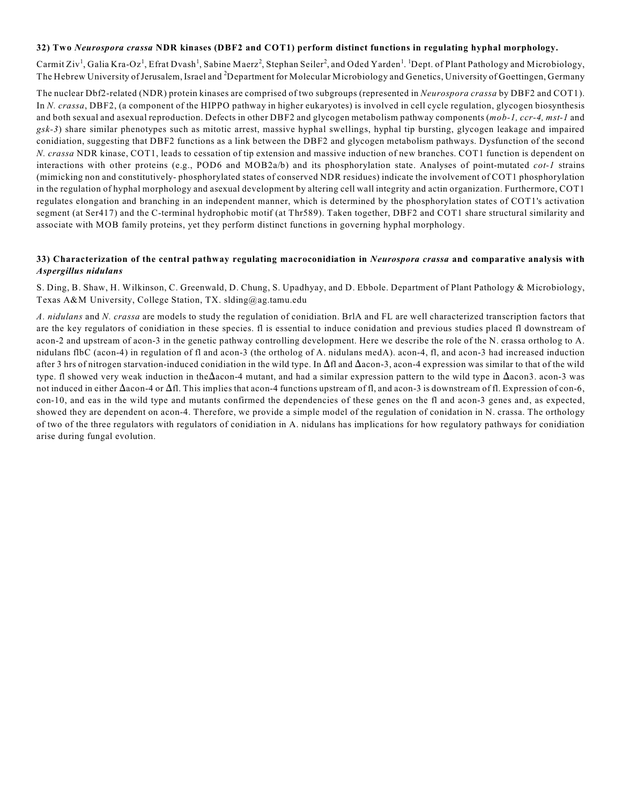## **32) Two** *Neurospora crassa* **NDR kinases (DBF2 and COT1) perform distinct functions in regulating hyphal morphology.**

Carmit Ziv<sup>1</sup>, Galia Kra-Oz<sup>1</sup>, Efrat Dvash<sup>1</sup>, Sabine Maerz<sup>2</sup>, Stephan Seiler<sup>2</sup>, and Oded Yarden<sup>1</sup>. <sup>1</sup> Dept. of Plant Pathology and Microbiology, The Hebrew University of Jerusalem, Israel and <sup>2</sup>Department for Molecular Microbiology and Genetics, University of Goettingen, Germany

The nuclear Dbf2-related (NDR) protein kinases are comprised of two subgroups (represented in *Neurospora crassa* by DBF2 and COT1). In *N. crassa*, DBF2, (a component of the HIPPO pathway in higher eukaryotes) is involved in cell cycle regulation, glycogen biosynthesis and both sexual and asexual reproduction. Defects in other DBF2 and glycogen metabolism pathway components (*mob-1, ccr-4, mst-1* and *gsk-3*) share similar phenotypes such as mitotic arrest, massive hyphal swellings, hyphal tip bursting, glycogen leakage and impaired conidiation, suggesting that DBF2 functions as a link between the DBF2 and glycogen metabolism pathways. Dysfunction of the second *N. crassa* NDR kinase, COT1, leads to cessation of tip extension and massive induction of new branches. COT1 function is dependent on interactions with other proteins (e.g., POD6 and MOB2a/b) and its phosphorylation state. Analyses of point-mutated *cot-1* strains (mimicking non and constitutively- phosphorylated states of conserved NDR residues) indicate the involvement of COT1 phosphorylation in the regulation of hyphal morphology and asexual development by altering cell wall integrity and actin organization. Furthermore, COT1 regulates elongation and branching in an independent manner, which is determined by the phosphorylation states of COT1's activation segment (at Ser417) and the C-terminal hydrophobic motif (at Thr589). Taken together, DBF2 and COT1 share structural similarity and associate with MOB family proteins, yet they perform distinct functions in governing hyphal morphology.

#### **33) Characterization of the central pathway regulating macroconidiation in** *Neurospora crassa* **and comparative analysis with** *Aspergillus nidulans*

S. Ding, B. Shaw, H. Wilkinson, C. Greenwald, D. Chung, S. Upadhyay, and D. Ebbole. Department of Plant Pathology & Microbiology, Texas A&M University, College Station, TX. slding@ag.tamu.edu

*A. nidulans* and *N. crassa* are models to study the regulation of conidiation. BrlA and FL are well characterized transcription factors that are the key regulators of conidiation in these species. fl is essential to induce conidation and previous studies placed fl downstream of acon-2 and upstream of acon-3 in the genetic pathway controlling development. Here we describe the role of the N. crassa ortholog to A. nidulans flbC (acon-4) in regulation of fl and acon-3 (the ortholog of A. nidulans medA). acon-4, fl, and acon-3 had increased induction after 3 hrs of nitrogen starvation-induced conidiation in the wild type. In  $\Delta f$ l and  $\Delta a$ con-3, acon-4 expression was similar to that of the wild type. fl showed very weak induction in the $\Delta$ acon-4 mutant, and had a similar expression pattern to the wild type in  $\Delta$ acon3. acon-3 was not induced in either  $\Delta$ acon-4 or  $\Delta$ fl. This implies that acon-4 functions upstream of fl, and acon-3 is downstream of fl. Expression of con-6, con-10, and eas in the wild type and mutants confirmed the dependencies of these genes on the fl and acon-3 genes and, as expected, showed they are dependent on acon-4. Therefore, we provide a simple model of the regulation of conidation in N. crassa. The orthology of two of the three regulators with regulators of conidiation in A. nidulans has implications for how regulatory pathways for conidiation arise during fungal evolution.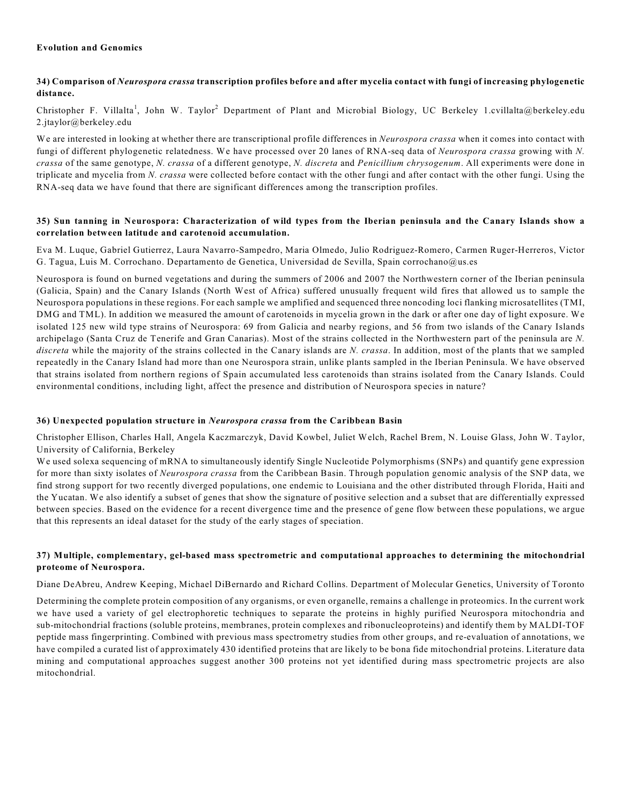## **Evolution and Genomics**

## **34) Comparison of** *Neurospora crassa* **transcription profiles before and after mycelia contact with fungi of increasing phylogenetic distance.**

Christopher F. Villalta<sup>1</sup>, John W. Taylor<sup>2</sup> Department of Plant and Microbial Biology, UC Berkeley 1.cvillalta@berkeley.edu 2.jtaylor@berkeley.edu

We are interested in looking at whether there are transcriptional profile differences in *Neurospora crassa* when it comes into contact with fungi of different phylogenetic relatedness. We have processed over 20 lanes of RNA-seq data of *Neurospora crassa* growing with *N. crassa* of the same genotype, *N. crassa* of a different genotype, *N. discreta* and *Penicillium chrysogenum*. All experiments were done in triplicate and mycelia from *N. crassa* were collected before contact with the other fungi and after contact with the other fungi. Using the RNA-seq data we have found that there are significant differences among the transcription profiles.

## **35) Sun tanning in Neurospora: Characterization of wild types from the Iberian peninsula and the Canary Islands show a correlation between latitude and carotenoid accumulation.**

Eva M. Luque, Gabriel Gutierrez, Laura Navarro-Sampedro, Maria Olmedo, Julio Rodriguez-Romero, Carmen Ruger-Herreros, Victor G. Tagua, Luis M. Corrochano. Departamento de Genetica, Universidad de Sevilla, Spain corrochano@us.es

Neurospora is found on burned vegetations and during the summers of 2006 and 2007 the Northwestern corner of the Iberian peninsula (Galicia, Spain) and the Canary Islands (North West of Africa) suffered unusually frequent wild fires that allowed us to sample the Neurospora populations in these regions. For each sample we amplified and sequenced three noncoding loci flanking microsatellites (TMI, DMG and TML). In addition we measured the amount of carotenoids in mycelia grown in the dark or after one day of light exposure. We isolated 125 new wild type strains of Neurospora: 69 from Galicia and nearby regions, and 56 from two islands of the Canary Islands archipelago (Santa Cruz de Tenerife and Gran Canarias). Most of the strains collected in the Northwestern part of the peninsula are *N. discreta* while the majority of the strains collected in the Canary islands are *N. crassa*. In addition, most of the plants that we sampled repeatedly in the Canary Island had more than one Neurospora strain, unlike plants sampled in the Iberian Peninsula. We have observed that strains isolated from northern regions of Spain accumulated less carotenoids than strains isolated from the Canary Islands. Could environmental conditions, including light, affect the presence and distribution of Neurospora species in nature?

## **36) Unexpected population structure in** *Neurospora crassa* **from the Caribbean Basin**

Christopher Ellison, Charles Hall, Angela Kaczmarczyk, David Kowbel, Juliet Welch, Rachel Brem, N. Louise Glass, John W. Taylor, University of California, Berkeley

We used solexa sequencing of mRNA to simultaneously identify Single Nucleotide Polymorphisms (SNPs) and quantify gene expression for more than sixty isolates of *Neurospora crassa* from the Caribbean Basin. Through population genomic analysis of the SNP data, we find strong support for two recently diverged populations, one endemic to Louisiana and the other distributed through Florida, Haiti and the Yucatan. We also identify a subset of genes that show the signature of positive selection and a subset that are differentially expressed between species. Based on the evidence for a recent divergence time and the presence of gene flow between these populations, we argue that this represents an ideal dataset for the study of the early stages of speciation.

## **37) Multiple, complementary, gel-based mass spectrometric and computational approaches to determining the mitochondrial proteome of Neurospora.**

Diane DeAbreu, Andrew Keeping, Michael DiBernardo and Richard Collins. Department of Molecular Genetics, University of Toronto

Determining the complete protein composition of any organisms, or even organelle, remains a challenge in proteomics. In the current work we have used a variety of gel electrophoretic techniques to separate the proteins in highly purified Neurospora mitochondria and sub-mitochondrial fractions (soluble proteins, membranes, protein complexes and ribonucleoproteins) and identify them by MALDI-TOF peptide mass fingerprinting. Combined with previous mass spectrometry studies from other groups, and re-evaluation of annotations, we have compiled a curated list of approximately 430 identified proteins that are likely to be bona fide mitochondrial proteins. Literature data mining and computational approaches suggest another 300 proteins not yet identified during mass spectrometric projects are also mitochondrial.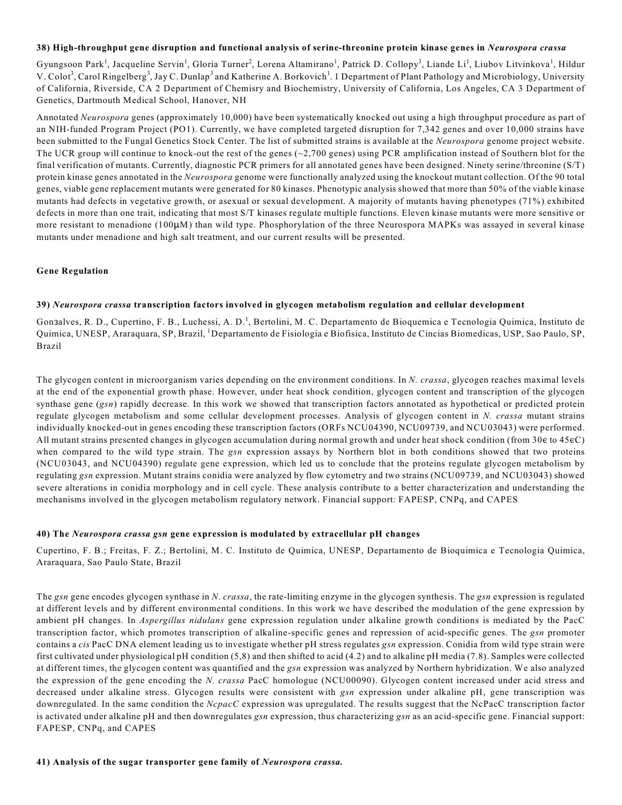#### **38) High-throughput gene disruption and functional analysis of serine-threonine protein kinase genes in** *Neurospora crassa*

Gyungsoon Park<sup>1</sup>, Jacqueline Servin<sup>1</sup>, Gloria Turner<sup>2</sup>, Lorena Altamirano<sup>1</sup>, Patrick D. Collopy<sup>3</sup>, Liande Li<sup>1</sup>, Liubov Litvinkova<sup>1</sup>, Hildur V. Colot<sup>3</sup>, Carol Ringelberg<sup>3</sup>, Jay C. Dunlap<sup>3</sup> and Katherine A. Borkovich<sup>1</sup>. 1 Department of Plant Pathology and Microbiology, University of California, Riverside, CA 2 Department of Chemisry and Biochemistry, University of California, Los Angeles, CA 3 Department of Genetics, Dartmouth Medical School, Hanover, NH

Annotated *Neurospora* genes (approximately 10,000) have been systematically knocked out using a high throughput procedure as part of an NIH-funded Program Project (PO1). Currently, we have completed targeted disruption for 7,342 genes and over 10,000 strains have been submitted to the Fungal Genetics Stock Center. The list of submitted strains is available at the *Neurospora* genome project website. The UCR group will continue to knock-out the rest of the genes  $(-2,700$  genes) using PCR amplification instead of Southern blot for the final verification of mutants. Currently, diagnostic PCR primers for all annotated genes have been designed. Ninety serine/threonine (S/T) protein kinase genes annotated in the *Neurospora* genome were functionally analyzed using the knockout mutant collection. Of the 90 total genes, viable gene replacement mutants were generated for 80 kinases. Phenotypic analysis showed that more than 50% of the viable kinase mutants had defects in vegetative growth, or asexual or sexual development. A majority of mutants having phenotypes (71%) exhibited defects in more than one trait, indicating that most S/T kinases regulate multiple functions. Eleven kinase mutants were more sensitive or more resistant to menadione  $(100\mu)$  than wild type. Phosphorylation of the three Neurospora MAPKs was assayed in several kinase mutants under menadione and high salt treatment, and our current results will be presented.

#### **Gene Regulation**

## **39)** *Neurospora crassa* **transcription factors involved in glycogen metabolism regulation and cellular development**

Gon3alves, R. D., Cupertino, F. B., Luchessi, A. D.<sup>1</sup>, Bertolini, M. C. Departamento de Bioquemica e Tecnologia Quimica, Instituto de Quimica, UNESP, Araraquara, SP, Brazil, <sup>1</sup>Departamento de Fisiologia e Biofisica, Instituto de Cincias Biomedicas, USP, Sao Paulo, SP, Brazil

The glycogen content in microorganism varies depending on the environment conditions. In *N. crassa*, glycogen reaches maximal levels at the end of the exponential growth phase. However, under heat shock condition, glycogen content and transcription of the glycogen synthase gene (*gsn*) rapidly decrease. In this work we showed that transcription factors annotated as hypothetical or predicted protein regulate glycogen metabolism and some cellular development processes. Analysis of glycogen content in *N. crassa* mutant strains individually knocked-out in genes encoding these transcription factors (ORFs NCU04390, NCU09739, and NCU03043) were performed. All mutant strains presented changes in glycogen accumulation during normal growth and under heat shock condition (from 30 $\epsilon$  to 45 $\epsilon$ C) when compared to the wild type strain. The *gsn* expression assays by Northern blot in both conditions showed that two proteins (NCU03043, and NCU04390) regulate gene expression, which led us to conclude that the proteins regulate glycogen metabolism by regulating *gsn* expression. Mutant strains conidia were analyzed by flow cytometry and two strains (NCU09739, and NCU03043) showed severe alterations in conidia morphology and in cell cycle. These analysis contribute to a better characterization and understanding the mechanisms involved in the glycogen metabolism regulatory network. Financial support: FAPESP, CNPq, and CAPES

## **40) The** *Neurospora crassa gsn* **gene expression is modulated by extracellular pH changes**

Cupertino, F. B.; Freitas, F. Z.; Bertolini, M. C. Instituto de Quimica, UNESP, Departamento de Bioquimica e Tecnologia Quimica, Araraquara, Sao Paulo State, Brazil

The *gsn* gene encodes glycogen synthase in *N. crassa*, the rate-limiting enzyme in the glycogen synthesis. The *gsn* expression is regulated at different levels and by different environmental conditions. In this work we have described the modulation of the gene expression by ambient pH changes. In *Aspergillus nidulans* gene expression regulation under alkaline growth conditions is mediated by the PacC transcription factor, which promotes transcription of alkaline-specific genes and repression of acid-specific genes. The *gsn* promoter contains a *cis* PacC DNA element leading us to investigate whether pH stress regulates *gsn* expression. Conidia from wild type strain were first cultivated under physiological pH condition (5,8) and then shifted to acid (4.2) and to alkaline pH media (7.8). Samples were collected at different times, the glycogen content was quantified and the *gsn* expression was analyzed by Northern hybridization. We also analyzed the expression of the gene encoding the *N. crassa* PacC homologue (NCU00090). Glycogen content increased under acid stress and decreased under alkaline stress. Glycogen results were consistent with *gsn* expression under alkaline pH, gene transcription was downregulated. In the same condition the *NcpacC* expression was upregulated. The results suggest that the NcPacC transcription factor is activated under alkaline pH and then downregulates *gsn* expression, thus characterizing *gsn* as an acid-specific gene. Financial support: FAPESP, CNPq, and CAPES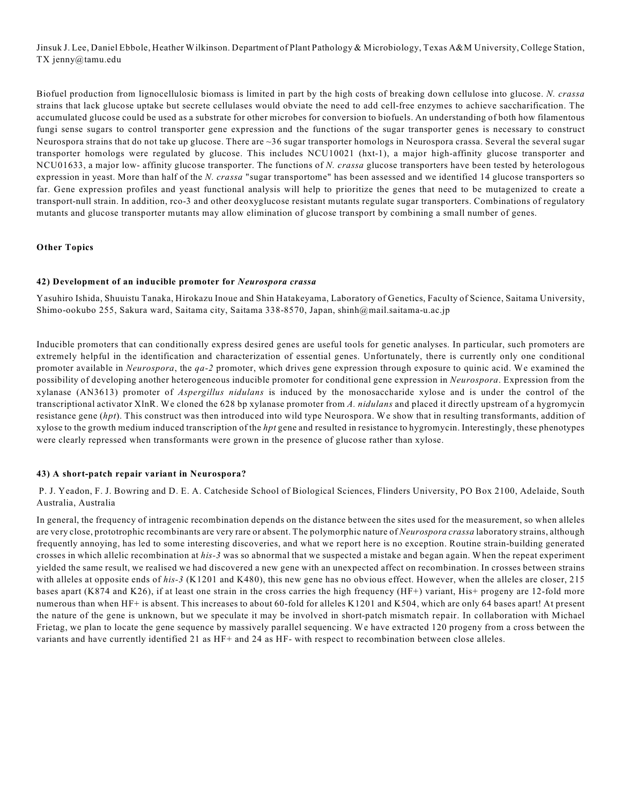Jinsuk J. Lee, Daniel Ebbole, Heather Wilkinson. Department of Plant Pathology & Microbiology, Texas A&M University, College Station, TX jenny@tamu.edu

Biofuel production from lignocellulosic biomass is limited in part by the high costs of breaking down cellulose into glucose. *N. crassa* strains that lack glucose uptake but secrete cellulases would obviate the need to add cell-free enzymes to achieve saccharification. The accumulated glucose could be used as a substrate for other microbes for conversion to biofuels. An understanding of both how filamentous fungi sense sugars to control transporter gene expression and the functions of the sugar transporter genes is necessary to construct Neurospora strains that do not take up glucose. There are ~36 sugar transporter homologs in Neurospora crassa. Several the several sugar transporter homologs were regulated by glucose. This includes NCU10021 (hxt-1), a major high-affinity glucose transporter and NCU01633, a major low- affinity glucose transporter. The functions of *N. crassa* glucose transporters have been tested by heterologous expression in yeast. More than half of the *N. crassa* "sugar transportome" has been assessed and we identified 14 glucose transporters so far. Gene expression profiles and yeast functional analysis will help to prioritize the genes that need to be mutagenized to create a transport-null strain. In addition, rco-3 and other deoxyglucose resistant mutants regulate sugar transporters. Combinations of regulatory mutants and glucose transporter mutants may allow elimination of glucose transport by combining a small number of genes.

## **Other Topics**

#### **42) Development of an inducible promoter for** *Neurospora crassa*

Yasuhiro Ishida, Shuuistu Tanaka, Hirokazu Inoue and Shin Hatakeyama, Laboratory of Genetics, Faculty of Science, Saitama University, Shimo-ookubo 255, Sakura ward, Saitama city, Saitama 338-8570, Japan, shinh@mail.saitama-u.ac.jp

Inducible promoters that can conditionally express desired genes are useful tools for genetic analyses. In particular, such promoters are extremely helpful in the identification and characterization of essential genes. Unfortunately, there is currently only one conditional promoter available in *Neurospora*, the *qa-2* promoter, which drives gene expression through exposure to quinic acid. We examined the possibility of developing another heterogeneous inducible promoter for conditional gene expression in *Neurospora*. Expression from the xylanase (AN3613) promoter of *Aspergillus nidulans* is induced by the monosaccharide xylose and is under the control of the transcriptional activator XlnR. We cloned the 628 bp xylanase promoter from *A. nidulans* and placed it directly upstream of a hygromycin resistance gene (*hpt*). This construct was then introduced into wild type Neurospora. We show that in resulting transformants, addition of xylose to the growth medium induced transcription of the *hpt* gene and resulted in resistance to hygromycin. Interestingly, these phenotypes were clearly repressed when transformants were grown in the presence of glucose rather than xylose.

#### **43) A short-patch repair variant in Neurospora?**

 P. J. Yeadon, F. J. Bowring and D. E. A. Catcheside School of Biological Sciences, Flinders University, PO Box 2100, Adelaide, South Australia, Australia

In general, the frequency of intragenic recombination depends on the distance between the sites used for the measurement, so when alleles are very close, prototrophic recombinants are very rare or absent. The polymorphic nature of *Neurospora crassa* laboratory strains, although frequently annoying, has led to some interesting discoveries, and what we report here is no exception. Routine strain-building generated crosses in which allelic recombination at *his-3* was so abnormal that we suspected a mistake and began again. When the repeat experiment yielded the same result, we realised we had discovered a new gene with an unexpected affect on recombination. In crosses between strains with alleles at opposite ends of *his-3* (K1201 and K480), this new gene has no obvious effect. However, when the alleles are closer, 215 bases apart (K874 and K26), if at least one strain in the cross carries the high frequency (HF+) variant, His+ progeny are 12-fold more numerous than when HF+ is absent. This increases to about 60-fold for alleles K1201 and K504, which are only 64 bases apart! At present the nature of the gene is unknown, but we speculate it may be involved in short-patch mismatch repair. In collaboration with Michael Frietag, we plan to locate the gene sequence by massively parallel sequencing. We have extracted 120 progeny from a cross between the variants and have currently identified 21 as HF+ and 24 as HF- with respect to recombination between close alleles.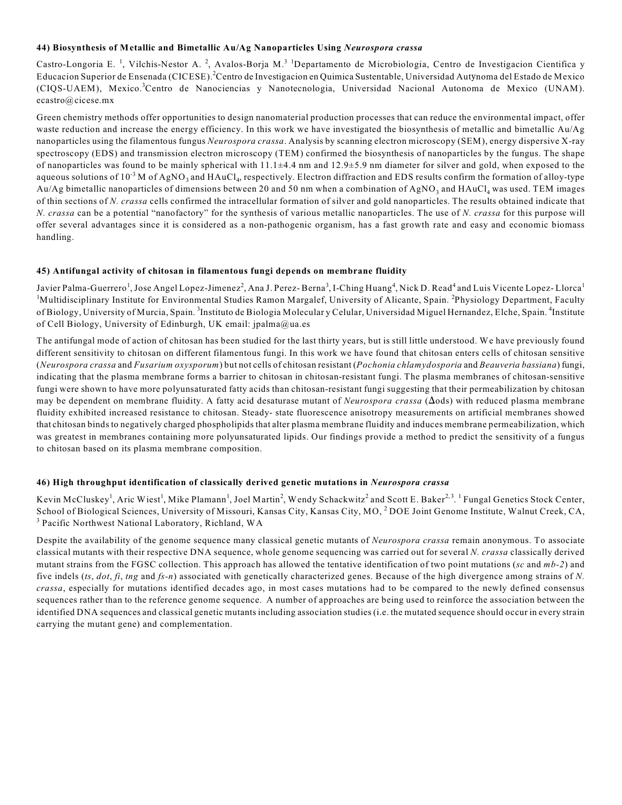#### **44) Biosynthesis of Metallic and Bimetallic Au/Ag Nanoparticles Using** *Neurospora crassa*

Castro-Longoria E.<sup>1</sup>, Vilchis-Nestor A.<sup>2</sup>, Avalos-Borja M.<sup>31</sup>Departamento de Microbiologia, Centro de Investigacion Cientifica y Educacion Superior de Ensenada (CICESE).<sup>2</sup>Centro de Investigacion en Quimica Sustentable, Universidad Autynoma del Estado de Mexico (CIQS-UAEM), Mexico.<sup>3</sup>Centro de Nanociencias y Nanotecnologia, Universidad Nacional Autonoma de Mexico (UNAM). ecastro@cicese.mx

Green chemistry methods offer opportunities to design nanomaterial production processes that can reduce the environmental impact, offer waste reduction and increase the energy efficiency. In this work we have investigated the biosynthesis of metallic and bimetallic Au/Ag nanoparticles using the filamentous fungus *Neurospora crassa*. Analysis by scanning electron microscopy (SEM), energy dispersive X-ray spectroscopy (EDS) and transmission electron microscopy (TEM) confirmed the biosynthesis of nanoparticles by the fungus. The shape of nanoparticles was found to be mainly spherical with  $11.1\pm4.4$  nm and  $12.9\pm5.9$  nm diameter for silver and gold, when exposed to the aqueous solutions of  $10^{-3}$  M of AgNO<sub>3</sub> and HAuCl<sub>4</sub>, respectively. Electron diffraction and EDS results confirm the formation of alloy-type Au/Ag bimetallic nanoparticles of dimensions between 20 and 50 nm when a combination of AgNO<sub>3</sub> and HAuCl<sub>4</sub> was used. TEM images of thin sections of *N. crassa* cells confirmed the intracellular formation of silver and gold nanoparticles. The results obtained indicate that *N. crassa* can be a potential "nanofactory" for the synthesis of various metallic nanoparticles. The use of *N. crassa* for this purpose will offer several advantages since it is considered as a non-pathogenic organism, has a fast growth rate and easy and economic biomass handling.

#### **45) Antifungal activity of chitosan in filamentous fungi depends on membrane fluidity**

Javier Palma-Guerrero<sup>1</sup>, Jose Angel Lopez-Jimenez<sup>2</sup>, Ana J. Perez-Berna<sup>3</sup>, I-Ching Huang<sup>4</sup>, Nick D. Read<sup>4</sup> and Luis Vicente Lopez-Llorca<sup>1</sup> <sup>1</sup>Multidisciplinary Institute for Environmental Studies Ramon Margalef, University of Alicante, Spain. <sup>2</sup>Physiology Department, Faculty of Biology, University of Murcia, Spain.<sup>3</sup>Instituto de Biologia Molecular y Celular, Universidad Miguel Hernandez, Elche, Spain.<sup>4</sup>Institute of Cell Biology, University of Edinburgh, UK email: jpalma@ua.es

The antifungal mode of action of chitosan has been studied for the last thirty years, but is still little understood. We have previously found different sensitivity to chitosan on different filamentous fungi. In this work we have found that chitosan enters cells of chitosan sensitive (*Neurospora crassa* and *Fusarium oxysporum*) but not cells of chitosan resistant (*Pochonia chlamydosporia* and *Beauveria bassiana*) fungi, indicating that the plasma membrane forms a barrier to chitosan in chitosan-resistant fungi. The plasma membranes of chitosan-sensitive fungi were shown to have more polyunsaturated fatty acids than chitosan-resistant fungi suggesting that their permeabilization by chitosan may be dependent on membrane fluidity. A fatty acid desaturase mutant of *Neurospora crassa* ( $\Delta$ ods) with reduced plasma membrane fluidity exhibited increased resistance to chitosan. Steady- state fluorescence anisotropy measurements on artificial membranes showed that chitosan binds to negatively charged phospholipids that alter plasma membrane fluidity and induces membrane permeabilization, which was greatest in membranes containing more polyunsaturated lipids. Our findings provide a method to predict the sensitivity of a fungus to chitosan based on its plasma membrane composition.

## **46) High throughput identification of classically derived genetic mutations in** *Neurospora crassa*

Kevin McCluskey<sup>1</sup>, Aric Wiest<sup>1</sup>, Mike Plamann<sup>1</sup>, Joel Martin<sup>2</sup>, Wendy Schackwitz<sup>2</sup> and Scott E. Baker<sup>2,3</sup>, <sup>1</sup> Fungal Genetics Stock Center, School of Biological Sciences, University of Missouri, Kansas City, Kansas City, MO, <sup>2</sup> DOE Joint Genome Institute, Walnut Creek, CA, <sup>3</sup> Pacific Northwest National Laboratory, Richland, WA

Despite the availability of the genome sequence many classical genetic mutants of *Neurospora crassa* remain anonymous. To associate classical mutants with their respective DNA sequence, whole genome sequencing was carried out for several *N. crassa* classically derived mutant strains from the FGSC collection. This approach has allowed the tentative identification of two point mutations (*sc* and *mb-2*) and five indels (*ts*, *dot*, *fi*, *tng* and *fs-n*) associated with genetically characterized genes. Because of the high divergence among strains of *N. crassa*, especially for mutations identified decades ago, in most cases mutations had to be compared to the newly defined consensus sequences rather than to the reference genome sequence. A number of approaches are being used to reinforce the association between the identified DNA sequences and classical genetic mutants including association studies (i.e. the mutated sequence should occur in every strain carrying the mutant gene) and complementation.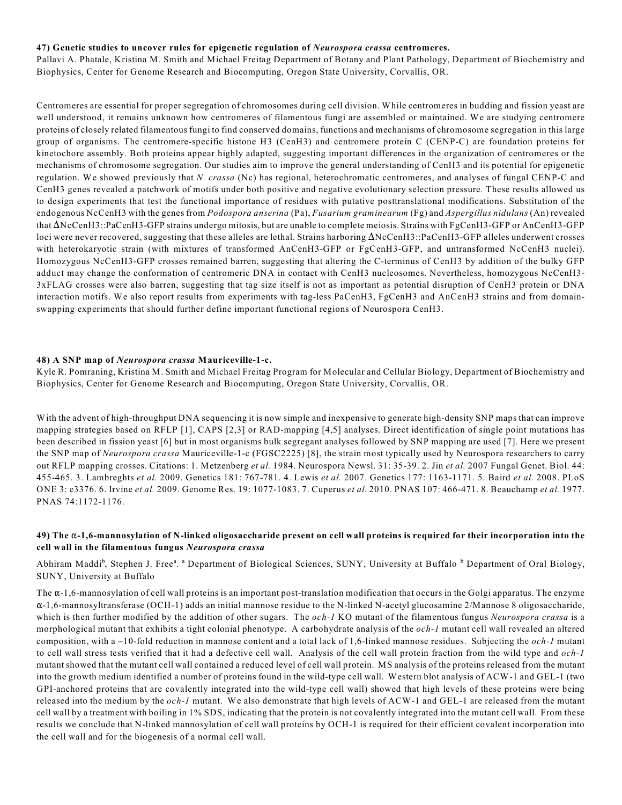#### **47) Genetic studies to uncover rules for epigenetic regulation of** *Neurospora crassa* **centromeres.**

Pallavi A. Phatale, Kristina M. Smith and Michael Freitag Department of Botany and Plant Pathology, Department of Biochemistry and Biophysics, Center for Genome Research and Biocomputing, Oregon State University, Corvallis, OR.

Centromeres are essential for proper segregation of chromosomes during cell division. While centromeres in budding and fission yeast are well understood, it remains unknown how centromeres of filamentous fungi are assembled or maintained. We are studying centromere proteins of closely related filamentous fungi to find conserved domains, functions and mechanisms of chromosome segregation in this large group of organisms. The centromere-specific histone H3 (CenH3) and centromere protein C (CENP-C) are foundation proteins for kinetochore assembly. Both proteins appear highly adapted, suggesting important differences in the organization of centromeres or the mechanisms of chromosome segregation. Our studies aim to improve the general understanding of CenH3 and its potential for epigenetic regulation. We showed previously that *N. crassa* (Nc) has regional, heterochromatic centromeres, and analyses of fungal CENP-C and CenH3 genes revealed a patchwork of motifs under both positive and negative evolutionary selection pressure. These results allowed us to design experiments that test the functional importance of residues with putative posttranslational modifications. Substitution of the endogenous NcCenH3 with the genes from *Podospora anserina* (Pa), *Fusarium graminearum* (Fg) and *Aspergillus nidulans* (An) revealed that  $\Delta$ NcCenH3::PaCenH3-GFP strains undergo mitosis, but are unable to complete meiosis. Strains with FgCenH3-GFP or AnCenH3-GFP loci were never recovered, suggesting that these alleles are lethal. Strains harboring  $\Delta NCCenH3::PaCenH3-GFP$  alleles underwent crosses with heterokaryotic strain (with mixtures of transformed AnCenH3-GFP or FgCenH3-GFP, and untransformed NcCenH3 nuclei). Homozygous NcCenH3-GFP crosses remained barren, suggesting that altering the C-terminus of CenH3 by addition of the bulky GFP adduct may change the conformation of centromeric DNA in contact with CenH3 nucleosomes. Nevertheless, homozygous NcCenH3- 3xFLAG crosses were also barren, suggesting that tag size itself is not as important as potential disruption of CenH3 protein or DNA interaction motifs. We also report results from experiments with tag-less PaCenH3, FgCenH3 and AnCenH3 strains and from domainswapping experiments that should further define important functional regions of Neurospora CenH3.

#### **48) A SNP map of** *Neurospora crassa* **Mauriceville-1-c.**

Kyle R. Pomraning, Kristina M. Smith and Michael Freitag Program for Molecular and Cellular Biology, Department of Biochemistry and Biophysics, Center for Genome Research and Biocomputing, Oregon State University, Corvallis, OR.

With the advent of high-throughput DNA sequencing it is now simple and inexpensive to generate high-density SNP maps that can improve mapping strategies based on RFLP [1], CAPS [2,3] or RAD-mapping [4,5] analyses. Direct identification of single point mutations has been described in fission yeast [6] but in most organisms bulk segregant analyses followed by SNP mapping are used [7]. Here we present the SNP map of *Neurospora crassa* Mauriceville-1-c (FGSC2225) [8], the strain most typically used by Neurospora researchers to carry out RFLP mapping crosses. Citations: 1. Metzenberg *et al.* 1984. Neurospora Newsl. 31: 35-39. 2. Jin *et al.* 2007 Fungal Genet. Biol. 44: 455-465. 3. Lambreghts *et al.* 2009. Genetics 181: 767-781. 4. Lewis *et al.* 2007. Genetics 177: 1163-1171. 5. Baird *et al.* 2008. PLoS ONE 3: e3376. 6. Irvine *et al.* 2009. Genome Res. 19: 1077-1083. 7. Cuperus *et al.* 2010. PNAS 107: 466-471. 8. Beauchamp *et al.* 1977. PNAS 74:1172-1176.

#### **49) The** "**-1,6-mannosylation of N-linked oligosaccharide present on cell wall proteins is required for their incorporation into the cell wall in the filamentous fungus** *Neurospora crassa*

Abhiram Maddi<sup>b</sup>, Stephen J. Free<sup>a</sup>. <sup>a</sup> Department of Biological Sciences, SUNY, University at Buffalo <sup>b</sup> Department of Oral Biology, SUNY, University at Buffalo

The  $\alpha$ -1,6-mannosylation of cell wall proteins is an important post-translation modification that occurs in the Golgi apparatus. The enzyme  $\alpha$ -1,6-mannosyltransferase (OCH-1) adds an initial mannose residue to the N-linked N-acetyl glucosamine 2/Mannose 8 oligosaccharide, which is then further modified by the addition of other sugars. The *och-1* KO mutant of the filamentous fungus *Neurospora crassa* is a morphological mutant that exhibits a tight colonial phenotype. A carbohydrate analysis of the *och-1* mutant cell wall revealed an altered composition, with a ~10-fold reduction in mannose content and a total lack of 1,6-linked mannose residues. Subjecting the *och-1* mutant to cell wall stress tests verified that it had a defective cell wall. Analysis of the cell wall protein fraction from the wild type and *och-1* mutant showed that the mutant cell wall contained a reduced level of cell wall protein. MS analysis of the proteins released from the mutant into the growth medium identified a number of proteins found in the wild-type cell wall. Western blot analysis of ACW-1 and GEL-1 (two GPI-anchored proteins that are covalently integrated into the wild-type cell wall) showed that high levels of these proteins were being released into the medium by the *och-1* mutant. We also demonstrate that high levels of ACW-1 and GEL-1 are released from the mutant cell wall by a treatment with boiling in 1% SDS, indicating that the protein is not covalently integrated into the mutant cell wall. From these results we conclude that N-linked mannosylation of cell wall proteins by OCH-1 is required for their efficient covalent incorporation into the cell wall and for the biogenesis of a normal cell wall.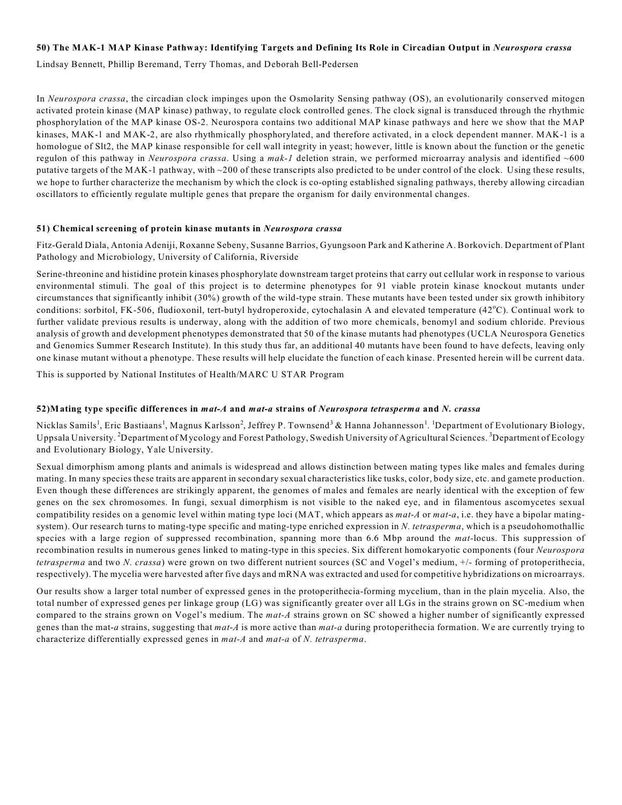## **50) The MAK-1 MAP Kinase Pathway: Identifying Targets and Defining Its Role in Circadian Output in** *Neurospora crassa*

Lindsay Bennett, Phillip Beremand, Terry Thomas, and Deborah Bell-Pedersen

In *Neurospora crassa*, the circadian clock impinges upon the Osmolarity Sensing pathway (OS), an evolutionarily conserved mitogen activated protein kinase (MAP kinase) pathway, to regulate clock controlled genes. The clock signal is transduced through the rhythmic phosphorylation of the MAP kinase OS-2. Neurospora contains two additional MAP kinase pathways and here we show that the MAP kinases, MAK-1 and MAK-2, are also rhythmically phosphorylated, and therefore activated, in a clock dependent manner. MAK-1 is a homologue of Slt2, the MAP kinase responsible for cell wall integrity in yeast; however, little is known about the function or the genetic regulon of this pathway in *Neurospora crassa*. Using a *mak-1* deletion strain, we performed microarray analysis and identified ~600 putative targets of the MAK-1 pathway, with ~200 of these transcripts also predicted to be under control of the clock. Using these results, we hope to further characterize the mechanism by which the clock is co-opting established signaling pathways, thereby allowing circadian oscillators to efficiently regulate multiple genes that prepare the organism for daily environmental changes.

#### **51) Chemical screening of protein kinase mutants in** *Neurospora crassa*

Fitz-Gerald Diala, Antonia Adeniji, Roxanne Sebeny, Susanne Barrios, Gyungsoon Park and Katherine A. Borkovich. Department of Plant Pathology and Microbiology, University of California, Riverside

Serine-threonine and histidine protein kinases phosphorylate downstream target proteins that carry out cellular work in response to various environmental stimuli. The goal of this project is to determine phenotypes for 91 viable protein kinase knockout mutants under circumstances that significantly inhibit (30%) growth of the wild-type strain. These mutants have been tested under six growth inhibitory conditions: sorbitol, FK-506, fludioxonil, tert-butyl hydroperoxide, cytochalasin A and elevated temperature (42°C). Continual work to further validate previous results is underway, along with the addition of two more chemicals, benomyl and sodium chloride. Previous analysis of growth and development phenotypes demonstrated that 50 of the kinase mutants had phenotypes (UCLA Neurospora Genetics and Genomics Summer Research Institute). In this study thus far, an additional 40 mutants have been found to have defects, leaving only one kinase mutant without a phenotype. These results will help elucidate the function of each kinase. Presented herein will be current data.

This is supported by National Institutes of Health/MARC U STAR Program

#### **52)Mating type specific differences in** *mat-A* **and** *mat-a* **strains of** *Neurospora tetrasperma* **and** *N. crassa*

Nicklas Samils<sup>1</sup>, Eric Bastiaans<sup>1</sup>, Magnus Karlsson<sup>2</sup>, Jeffrey P. Townsend<sup>3</sup> & Hanna Johannesson<sup>1</sup>. <sup>1</sup>Department of Evolutionary Biology, Uppsala University. <sup>2</sup> Department of Mycology and Forest Pathology, Swedish University of Agricultural Sciences. <sup>3</sup> Department of Ecology and Evolutionary Biology, Yale University.

Sexual dimorphism among plants and animals is widespread and allows distinction between mating types like males and females during mating. In many species these traits are apparent in secondary sexual characteristics like tusks, color, body size, etc. and gamete production. Even though these differences are strikingly apparent, the genomes of males and females are nearly identical with the exception of few genes on the sex chromosomes. In fungi, sexual dimorphism is not visible to the naked eye, and in filamentous ascomycetes sexual compatibility resides on a genomic level within mating type loci (MAT, which appears as *mat*-*A* or *mat*-*a*, i.e. they have a bipolar matingsystem). Our research turns to mating-type specific and mating-type enriched expression in *N. tetrasperma*, which is a pseudohomothallic species with a large region of suppressed recombination, spanning more than 6.6 Mbp around the *mat-*locus. This suppression of recombination results in numerous genes linked to mating-type in this species. Six different homokaryotic components (four *Neurospora tetrasperma* and two *N. crassa*) were grown on two different nutrient sources (SC and Vogel's medium, +/- forming of protoperithecia, respectively). The mycelia were harvested after five days and mRNA was extracted and used for competitive hybridizations on microarrays.

Our results show a larger total number of expressed genes in the protoperithecia-forming mycelium, than in the plain mycelia. Also, the total number of expressed genes per linkage group (LG) was significantly greater over all LGs in the strains grown on SC-medium when compared to the strains grown on Vogel's medium. The *mat-A* strains grown on SC showed a higher number of significantly expressed genes than the mat-*a* strains, suggesting that *mat*-*A* is more active than *mat-a* during protoperithecia formation. We are currently trying to characterize differentially expressed genes in *mat-A* and *mat-a* of *N. tetrasperma*.